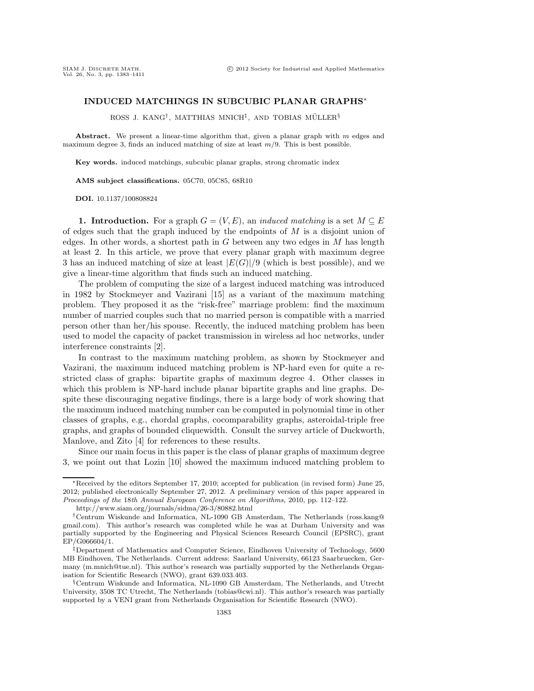## **INDUCED MATCHINGS IN SUBCUBIC PLANAR GRAPHS**∗

ROSS J. KANG<sup>†</sup>, MATTHIAS MNICH<sup>‡</sup>, AND TOBIAS MÜLLER<sup>§</sup>

**Abstract.** We present a linear-time algorithm that, given a planar graph with *m* edges and maximum degree 3, finds an induced matching of size at least *m/*9. This is best possible.

**Key words.** induced matchings, subcubic planar graphs, strong chromatic index

**AMS subject classifications.** 05C70, 05C85, 68R10

**DOI.** 10.1137/100808824

**1. Introduction.** For a graph  $G = (V, E)$ , an *induced matching* is a set  $M \subseteq E$ of edges such that the graph induced by the endpoints of  $M$  is a disjoint union of edges. In other words, a shortest path in  $G$  between any two edges in  $M$  has length at least 2. In this article, we prove that every planar graph with maximum degree 3 has an induced matching of size at least  $|E(G)|/9$  (which is best possible), and we give a linear-time algorithm that finds such an induced matching.

The problem of computing the size of a largest induced matching was introduced in 1982 by Stockmeyer and Vazirani [15] as a variant of the maximum matching problem. They proposed it as the "risk-free" marriage problem: find the maximum number of married couples such that no married person is compatible with a married person other than her/his spouse. Recently, the induced matching problem has been used to model the capacity of packet transmission in wireless ad hoc networks, under interference constraints [2].

In contrast to the maximum matching problem, as shown by Stockmeyer and Vazirani, the maximum induced matching problem is NP-hard even for quite a restricted class of graphs: bipartite graphs of maximum degree 4. Other classes in which this problem is NP-hard include planar bipartite graphs and line graphs. Despite these discouraging negative findings, there is a large body of work showing that the maximum induced matching number can be computed in polynomial time in other classes of graphs, e.g., chordal graphs, cocomparability graphs, asteroidal-triple free graphs, and graphs of bounded cliquewidth. Consult the survey article of Duckworth, Manlove, and Zito [4] for references to these results.

Since our main focus in this paper is the class of planar graphs of maximum degree 3, we point out that Lozin [10] showed the maximum induced matching problem to

<sup>∗</sup>Received by the editors September 17, 2010; accepted for publication (in revised form) June 25, 2012; published electronically September 27, 2012. A preliminary version of this paper appeared in *Proceedings of the* 18*th Annual European Conference on Algorithms,* 2010, pp. 112–122.

http://www.siam.org/journals/sidma/26-3/80882.html

<sup>†</sup>Centrum Wiskunde and Informatica, NL-1090 GB Amsterdam, The Netherlands (ross.kang@ gmail.com). This author's research was completed while he was at Durham University and was partially supported by the Engineering and Physical Sciences Research Council (EPSRC), grant EP/G066604/1.

<sup>‡</sup>Department of Mathematics and Computer Science, Eindhoven University of Technology, 5600 MB Eindhoven, The Netherlands. Current address: Saarland University, 66123 Saarbruecken, Germany (m.mnich@tue.nl). This author's research was partially supported by the Netherlands Organisation for Scientific Research (NWO), grant 639.033.403.

<sup>§</sup>Centrum Wiskunde and Informatica, NL-1090 GB Amsterdam, The Netherlands, and Utrecht University, 3508 TC Utrecht, The Netherlands (tobias@cwi.nl). This author's research was partially supported by a VENI grant from Netherlands Organisation for Scientific Research (NWO).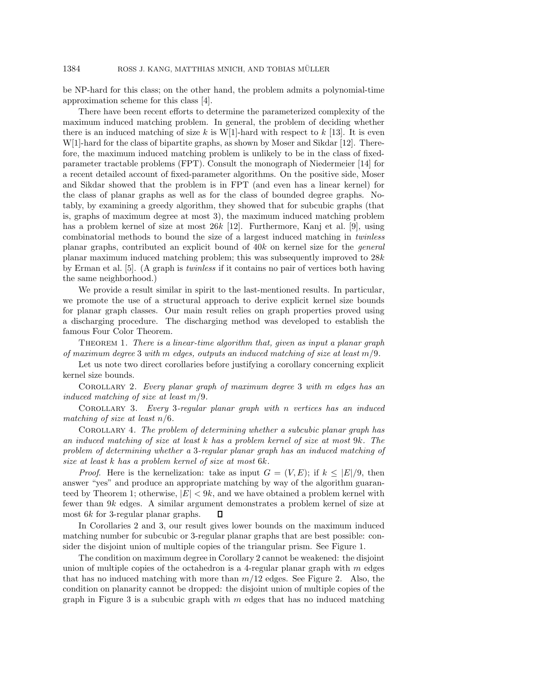be NP-hard for this class; on the other hand, the problem admits a polynomial-time approximation scheme for this class [4].

There have been recent efforts to determine the parameterized complexity of the maximum induced matching problem. In general, the problem of deciding whether there is an induced matching of size k is  $W[1]$ -hard with respect to k [13]. It is even W[1]-hard for the class of bipartite graphs, as shown by Moser and Sikdar [12]. Therefore, the maximum induced matching problem is unlikely to be in the class of fixedparameter tractable problems (FPT). Consult the monograph of Niedermeier [14] for a recent detailed account of fixed-parameter algorithms. On the positive side, Moser and Sikdar showed that the problem is in FPT (and even has a linear kernel) for the class of planar graphs as well as for the class of bounded degree graphs. Notably, by examining a greedy algorithm, they showed that for subcubic graphs (that is, graphs of maximum degree at most 3), the maximum induced matching problem has a problem kernel of size at most  $26k$  [12]. Furthermore, Kanj et al. [9], using combinatorial methods to bound the size of a largest induced matching in *twinless* planar graphs, contributed an explicit bound of 40k on kernel size for the *general* planar maximum induced matching problem; this was subsequently improved to 28k by Erman et al. [5]. (A graph is *twinless* if it contains no pair of vertices both having the same neighborhood.)

We provide a result similar in spirit to the last-mentioned results. In particular, we promote the use of a structural approach to derive explicit kernel size bounds for planar graph classes. Our main result relies on graph properties proved using a discharging procedure. The discharging method was developed to establish the famous Four Color Theorem.

Theorem 1. *There is a linear-time algorithm that, given as input a planar graph of maximum degree* 3 *with* m *edges, outputs an induced matching of size at least* m/9*.*

Let us note two direct corollaries before justifying a corollary concerning explicit kernel size bounds.

Corollary 2. *Every planar graph of maximum degree* 3 *with* m *edges has an induced matching of size at least* m/9*.*

Corollary 3. *Every* 3*-regular planar graph with* n *vertices has an induced matching of size at least* n/6*.*

Corollary 4. *The problem of determining whether a subcubic planar graph has an induced matching of size at least* k *has a problem kernel of size at most* 9k*. The problem of determining whether a* 3*-regular planar graph has an induced matching of size at least* k *has a problem kernel of size at most* 6k*.*

*Proof.* Here is the kernelization: take as input  $G = (V, E)$ ; if  $k \leq |E|/9$ , then answer "yes" and produce an appropriate matching by way of the algorithm guaranteed by Theorem 1; otherwise,  $|E| < 9k$ , and we have obtained a problem kernel with fewer than 9k edges. A similar argument demonstrates a problem kernel of size at most 6k for 3-regular planar graphs.  $\Box$ 

In Corollaries 2 and 3, our result gives lower bounds on the maximum induced matching number for subcubic or 3-regular planar graphs that are best possible: consider the disjoint union of multiple copies of the triangular prism. See Figure 1.

The condition on maximum degree in Corollary 2 cannot be weakened: the disjoint union of multiple copies of the octahedron is a 4-regular planar graph with  $m$  edges that has no induced matching with more than  $m/12$  edges. See Figure 2. Also, the condition on planarity cannot be dropped: the disjoint union of multiple copies of the graph in Figure 3 is a subcubic graph with  $m$  edges that has no induced matching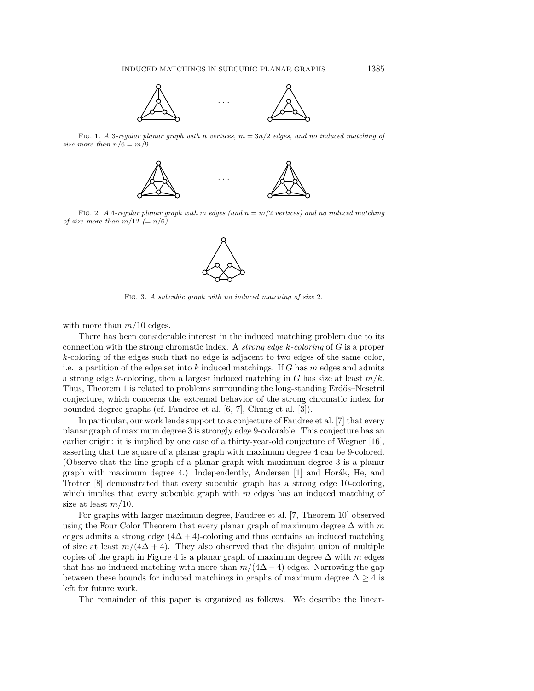

FIG. 1. *A* 3*-regular planar graph with n* vertices,  $m = 3n/2$  edges, and no induced matching of *size more than*  $n/6 = m/9$ *.* 



Fig. 2. *A* 4*-regular planar graph with m edges (and n* = *m/*2 *vertices) and no induced matching of size more than*  $m/12 (= n/6)$ .



Fig. 3. *A subcubic graph with no induced matching of size* 2*.*

with more than  $m/10$  edges.

There has been considerable interest in the induced matching problem due to its connection with the strong chromatic index. A *strong edge* k*-coloring* of G is a proper k-coloring of the edges such that no edge is adjacent to two edges of the same color, i.e., a partition of the edge set into k induced matchings. If G has m edges and admits a strong edge k-coloring, then a largest induced matching in G has size at least  $m/k$ . Thus, Theorem 1 is related to problems surrounding the long-standing Erdős–Nešetřil conjecture, which concerns the extremal behavior of the strong chromatic index for bounded degree graphs (cf. Faudree et al. [6, 7], Chung et al. [3]).

In particular, our work lends support to a conjecture of Faudree et al. [7] that every planar graph of maximum degree 3 is strongly edge 9-colorable. This conjecture has an earlier origin: it is implied by one case of a thirty-year-old conjecture of Wegner [16], asserting that the square of a planar graph with maximum degree 4 can be 9-colored. (Observe that the line graph of a planar graph with maximum degree 3 is a planar graph with maximum degree 4.) Independently, Andersen  $[1]$  and Horák, He, and Trotter [8] demonstrated that every subcubic graph has a strong edge 10-coloring, which implies that every subcubic graph with  $m$  edges has an induced matching of size at least  $m/10$ .

For graphs with larger maximum degree, Faudree et al. [7, Theorem 10] observed using the Four Color Theorem that every planar graph of maximum degree  $\Delta$  with  $m$ edges admits a strong edge  $(4\Delta + 4)$ -coloring and thus contains an induced matching of size at least  $m/(4\Delta + 4)$ . They also observed that the disjoint union of multiple copies of the graph in Figure 4 is a planar graph of maximum degree  $\Delta$  with m edges that has no induced matching with more than  $m/(4\Delta-4)$  edges. Narrowing the gap between these bounds for induced matchings in graphs of maximum degree  $\Delta \geq 4$  is left for future work.

The remainder of this paper is organized as follows. We describe the linear-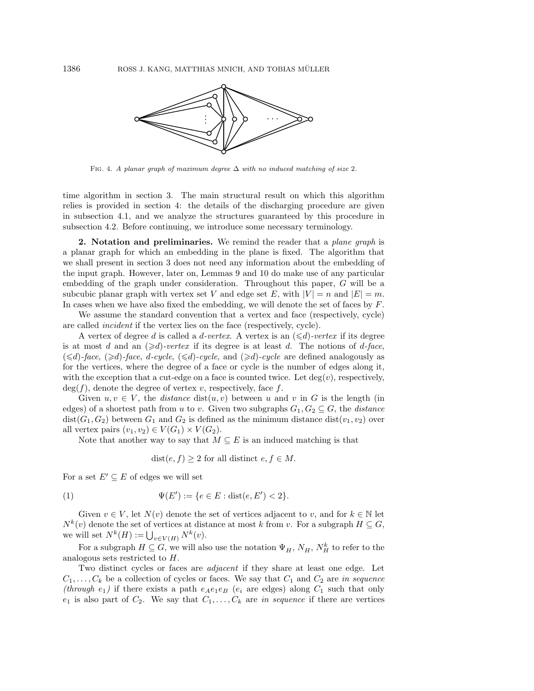

Fig. 4. *A planar graph of maximum degree* Δ *with no induced matching of size* 2*.*

time algorithm in section 3. The main structural result on which this algorithm relies is provided in section 4: the details of the discharging procedure are given in subsection 4.1, and we analyze the structures guaranteed by this procedure in subsection 4.2. Before continuing, we introduce some necessary terminology.

**2. Notation and preliminaries.** We remind the reader that a *plane graph* is a planar graph for which an embedding in the plane is fixed. The algorithm that we shall present in section 3 does not need any information about the embedding of the input graph. However, later on, Lemmas 9 and 10 do make use of any particular embedding of the graph under consideration. Throughout this paper, G will be a subcubic planar graph with vertex set V and edge set E, with  $|V| = n$  and  $|E| = m$ . In cases when we have also fixed the embedding, we will denote the set of faces by  $F$ .

We assume the standard convention that a vertex and face (respectively, cycle) are called *incident* if the vertex lies on the face (respectively, cycle).

A vertex of degree d is called a d-vertex. A vertex is an  $(\le d)$ -vertex if its degree is at most d and an  $(\geq d)$ -vertex if its degree is at least d. The notions of d-face,  $(\leq d)$ -face,  $(\geq d)$ -face,  $d$ -cycle,  $(\leq d)$ -cycle, and  $(\geq d)$ -cycle are defined analogously as for the vertices, where the degree of a face or cycle is the number of edges along it, with the exception that a cut-edge on a face is counted twice. Let  $deg(v)$ , respectively,  $deg(f)$ , denote the degree of vertex v, respectively, face f.

Given  $u, v \in V$ , the *distance* dist $(u, v)$  between u and v in G is the length (in edges) of a shortest path from u to v. Given two subgraphs  $G_1, G_2 \subseteq G$ , the *distance*  $dist(G_1, G_2)$  between  $G_1$  and  $G_2$  is defined as the minimum distance  $dist(v_1, v_2)$  over all vertex pairs  $(v_1, v_2) \in V(G_1) \times V(G_2)$ .

Note that another way to say that  $M \subseteq E$  is an induced matching is that

$$
dist(e, f) \ge 2
$$
 for all distinct  $e, f \in M$ .

For a set  $E' \subseteq E$  of edges we will set

(1) 
$$
\Psi(E') := \{e \in E : \text{dist}(e, E') < 2\}.
$$

Given  $v \in V$ , let  $N(v)$  denote the set of vertices adjacent to v, and for  $k \in \mathbb{N}$  let  $N^k(v)$  denote the set of vertices at distance at most k from v. For a subgraph  $H \subseteq G$ , we will set  $N^k(H) := \bigcup_{v \in V(H)} N^k(v)$ .

For a subgraph  $H \subseteq G$ , we will also use the notation  $\Psi_H$ ,  $N_H$ ,  $N_H^k$  to refer to the analogous sets restricted to H.

Two distinct cycles or faces are *adjacent* if they share at least one edge. Let  $C_1, \ldots, C_k$  be a collection of cycles or faces. We say that  $C_1$  and  $C_2$  are *in sequence (through*  $e_1$ ) if there exists a path  $e_Ae_1e_B$  *(e<sub>i</sub>* are edges) along  $C_1$  such that only  $e_1$  is also part of  $C_2$ . We say that  $C_1, \ldots, C_k$  are *in sequence* if there are vertices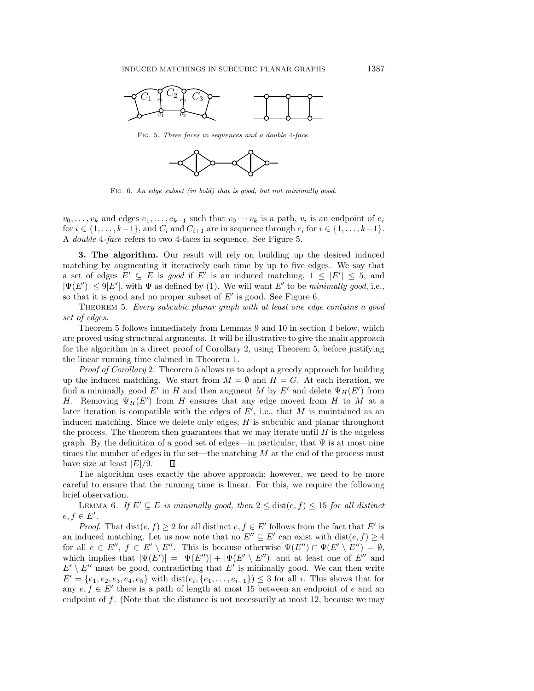

Fig. 5. *Three faces in sequences and a double* 4*-face.*



Fig. 6. *An edge subset (in bold) that is good, but not minimally good.*

 $v_0,\ldots,v_k$  and edges  $e_1,\ldots,e_{k-1}$  such that  $v_0\cdots v_k$  is a path,  $v_i$  is an endpoint of  $e_i$ for  $i \in \{1,\ldots,k-1\}$ , and  $C_i$  and  $C_{i+1}$  are in sequence through  $e_i$  for  $i \in \{1,\ldots,k-1\}$ . A *double* 4*-face* refers to two 4-faces in sequence. See Figure 5.

**3. The algorithm.** Our result will rely on building up the desired induced matching by augmenting it iteratively each time by up to five edges. We say that a set of edges  $E' \subseteq E$  is *good* if E' is an induced matching,  $1 \leq |E'| \leq 5$ , and  $|\Psi(E')| \le 9|E'|$ , with  $\Psi$  as defined by (1). We will want E' to be *minimally good*, i.e., so that it is good and no proper subset of  $E'$  is good. See Figure 6.

Theorem 5. *Every subcubic planar graph with at least one edge contains a good set of edges.*

Theorem 5 follows immediately from Lemmas 9 and 10 in section 4 below, which are proved using structural arguments. It will be illustrative to give the main approach for the algorithm in a direct proof of Corollary 2, using Theorem 5, before justifying the linear running time claimed in Theorem 1.

*Proof of Corollary* 2. Theorem 5 allows us to adopt a greedy approach for building up the induced matching. We start from  $M = \emptyset$  and  $H = G$ . At each iteration, we find a minimally good  $E'$  in H and then augment M by  $E'$  and delete  $\Psi_H(E')$  from H. Removing  $\Psi_H(E')$  from H ensures that any edge moved from H to M at a later iteration is compatible with the edges of  $E'$ , i.e., that M is maintained as an induced matching. Since we delete only edges,  $H$  is subcubic and planar throughout the process. The theorem then guarantees that we may iterate until  $H$  is the edgeless graph. By the definition of a good set of edges—in particular, that  $\Psi$  is at most nine times the number of edges in the set—the matching  $M$  at the end of the process must have size at least  $|E|/9$ .  $\Box$ 

The algorithm uses exactly the above approach; however, we need to be more careful to ensure that the running time is linear. For this, we require the following brief observation.

LEMMA 6. If  $E' \subseteq E$  is minimally good, then  $2 \leq \text{dist}(e, f) \leq 15$  for all distinct  $e, f \in E'.$ 

*Proof.* That  $dist(e, f) \geq 2$  for all distinct  $e, f \in E'$  follows from the fact that E' is an induced matching. Let us now note that no  $E'' \subseteq E'$  can exist with  $dist(e, f) \geq 4$ for all  $e \in E'', f \in E' \setminus E''.$  This is because otherwise  $\Psi(E'') \cap \Psi(E' \setminus E'') = \emptyset$ , which implies that  $|\Psi(E')| = |\Psi(E'')| + |\Psi(E' \setminus E'')|$  and at least one of E'' and  $E' \setminus E''$  must be good, contradicting that E' is minimally good. We can then write  $E' = \{e_1, e_2, e_3, e_4, e_5\}$  with  $dist(e_i, \{e_1, \ldots, e_{i-1}\}) \leq 3$  for all i. This shows that for any  $e, f \in E'$  there is a path of length at most 15 between an endpoint of e and an endpoint of  $f$ . (Note that the distance is not necessarily at most 12, because we may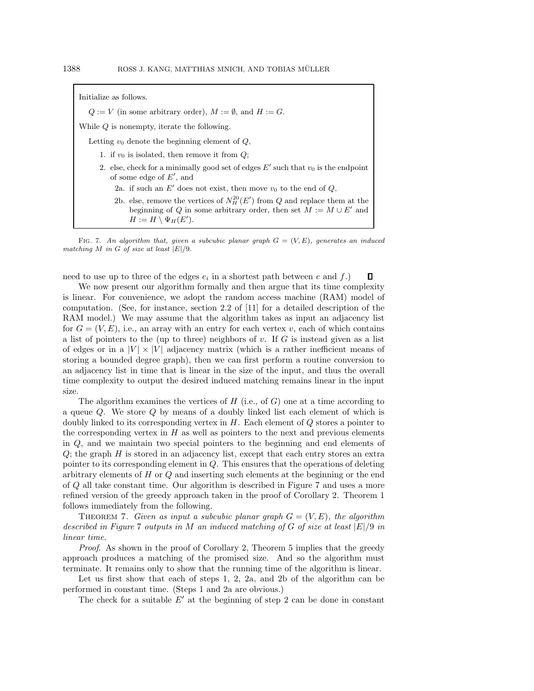| Initialize as follows.                                                                                                                                                                    |
|-------------------------------------------------------------------------------------------------------------------------------------------------------------------------------------------|
| $Q := V$ (in some arbitrary order), $M := \emptyset$ , and $H := G$ .                                                                                                                     |
| While $Q$ is nonempty, iterate the following.                                                                                                                                             |
| Letting $v_0$ denote the beginning element of $Q$ ,                                                                                                                                       |
| 1. if $v_0$ is isolated, then remove it from $Q$ ;                                                                                                                                        |
| 2. else, check for a minimally good set of edges $E'$ such that $v_0$ is the endpoint<br>of some edge of $E'$ , and                                                                       |
| 2a. if such an E' does not exist, then move $v_0$ to the end of Q,                                                                                                                        |
| 2b. else, remove the vertices of $N_H^{20}(E')$ from Q and replace them at the<br>beginning of Q in some arbitrary order, then set $M := M \cup E'$ and<br>$H := H \setminus \Psi_H(E').$ |

Fig. 7. *An algorithm that, given a subcubic planar graph G* = (*V,E*)*, generates an induced matching M in G of size at least |E|/*9*.*

need to use up to three of the edges  $e_i$  in a shortest path between e and f.)

We now present our algorithm formally and then argue that its time complexity is linear. For convenience, we adopt the random access machine (RAM) model of computation. (See, for instance, section 2.2 of [11] for a detailed description of the RAM model.) We may assume that the algorithm takes as input an adjacency list for  $G = (V, E)$ , i.e., an array with an entry for each vertex v, each of which contains a list of pointers to the (up to three) neighbors of v. If  $G$  is instead given as a list of edges or in a  $|V| \times |V|$  adjacency matrix (which is a rather inefficient means of storing a bounded degree graph), then we can first perform a routine conversion to an adjacency list in time that is linear in the size of the input, and thus the overall time complexity to output the desired induced matching remains linear in the input size.

The algorithm examines the vertices of  $H$  (i.e., of  $G$ ) one at a time according to a queue Q. We store Q by means of a doubly linked list each element of which is doubly linked to its corresponding vertex in  $H$ . Each element of  $Q$  stores a pointer to the corresponding vertex in  $H$  as well as pointers to the next and previous elements in Q, and we maintain two special pointers to the beginning and end elements of  $Q$ ; the graph  $H$  is stored in an adjacency list, except that each entry stores an extra pointer to its corresponding element in  $Q$ . This ensures that the operations of deleting arbitrary elements of  $H$  or  $Q$  and inserting such elements at the beginning or the end of Q all take constant time. Our algorithm is described in Figure 7 and uses a more refined version of the greedy approach taken in the proof of Corollary 2. Theorem 1 follows immediately from the following.

THEOREM 7. *Given as input a subcubic planar graph*  $G = (V, E)$ , the algorithm *described in Figure* 7 *outputs in* M *an induced matching of* G *of size at least* |E|/9 *in linear time.*

*Proof.* As shown in the proof of Corollary 2, Theorem 5 implies that the greedy approach produces a matching of the promised size. And so the algorithm must terminate. It remains only to show that the running time of the algorithm is linear.

Let us first show that each of steps 1, 2, 2a, and 2b of the algorithm can be performed in constant time. (Steps 1 and 2a are obvious.)

The check for a suitable  $E'$  at the beginning of step 2 can be done in constant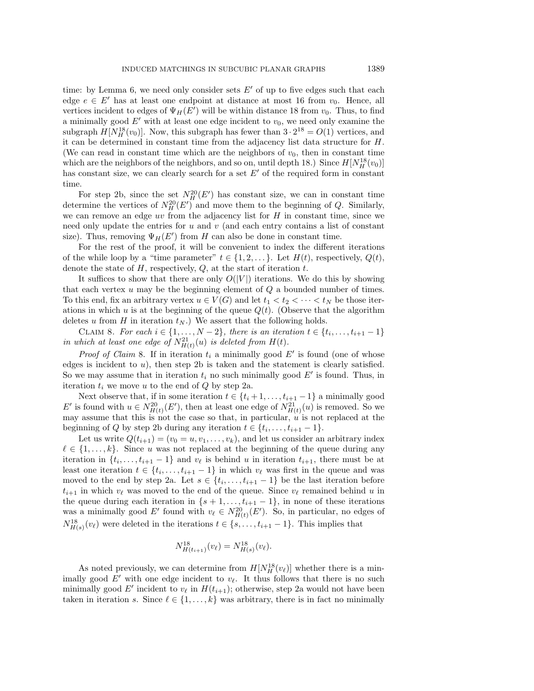time: by Lemma 6, we need only consider sets  $E'$  of up to five edges such that each edge  $e \in E'$  has at least one endpoint at distance at most 16 from  $v_0$ . Hence, all vertices incident to edges of  $\Psi_H(E')$  will be within distance 18 from  $v_0$ . Thus, to find a minimally good  $E'$  with at least one edge incident to  $v_0$ , we need only examine the subgraph  $H[N_H^{18}(v_0)]$ . Now, this subgraph has fewer than  $3 \cdot 2^{18} = O(1)$  vertices, and it can be determined in constant time from the adjacency list data structure for H. (We can read in constant time which are the neighbors of  $v_0$ , then in constant time which are the neighbors of the neighbors, and so on, until depth 18.) Since  $H[N_H^{18}(v_0)]$ has constant size, we can clearly search for a set  $E'$  of the required form in constant time.

For step 2b, since the set  $N_H^{20}(E')$  has constant size, we can in constant time determine the vertices of  $N_H^{20}(E')$  and move them to the beginning of Q. Similarly, we can remove an edge  $uv$  from the adjacency list for  $H$  in constant time, since we need only update the entries for  $u$  and  $v$  (and each entry contains a list of constant size). Thus, removing  $\Psi_H(E')$  from H can also be done in constant time.

For the rest of the proof, it will be convenient to index the different iterations of the while loop by a "time parameter"  $t \in \{1, 2, \ldots\}$ . Let  $H(t)$ , respectively,  $Q(t)$ , denote the state of  $H$ , respectively,  $Q$ , at the start of iteration  $t$ .

It suffices to show that there are only  $O(|V|)$  iterations. We do this by showing that each vertex  $u$  may be the beginning element of  $Q$  a bounded number of times. To this end, fix an arbitrary vertex  $u \in V(G)$  and let  $t_1 < t_2 < \cdots < t_N$  be those iterations in which u is at the beginning of the queue  $Q(t)$ . (Observe that the algorithm deletes u from H in iteration  $t_N$ .) We assert that the following holds.

CLAIM 8. *For each*  $i \in \{1, ..., N-2\}$ , there is an iteration  $t \in \{t_i, ..., t_{i+1}-1\}$ *in which at least one edge of*  $N_{H(t)}^{21}(u)$  *is deleted from*  $H(t)$ *.* 

*Proof of Claim* 8. If in iteration  $t_i$  a minimally good  $E'$  is found (one of whose edges is incident to  $u$ ), then step 2b is taken and the statement is clearly satisfied. So we may assume that in iteration  $t_i$  no such minimally good  $E'$  is found. Thus, in iteration  $t_i$  we move u to the end of  $Q$  by step 2a.

Next observe that, if in some iteration  $t \in \{t_i + 1, \ldots, t_{i+1} - 1\}$  a minimally good E' is found with  $u \in N_{H(t)}^{20}(E')$ , then at least one edge of  $N_{H(t)}^{21}(u)$  is removed. So we may assume that this is not the case so that, in particular,  $\hat{u}$  is not replaced at the beginning of Q by step 2b during any iteration  $t \in \{t_i, \ldots, t_{i+1} - 1\}.$ 

Let us write  $Q(t_{i+1})=(v_0 = u, v_1,\ldots,v_k)$ , and let us consider an arbitrary index  $\ell \in \{1,\ldots,k\}$ . Since u was not replaced at the beginning of the queue during any iteration in  $\{t_i, \ldots, t_{i+1} - 1\}$  and  $v_\ell$  is behind u in iteration  $t_{i+1}$ , there must be at least one iteration  $t \in \{t_i, \ldots, t_{i+1} - 1\}$  in which  $v_\ell$  was first in the queue and was moved to the end by step 2a. Let  $s \in \{t_i, \ldots, t_{i+1} - 1\}$  be the last iteration before  $t_{i+1}$  in which  $v_{\ell}$  was moved to the end of the queue. Since  $v_{\ell}$  remained behind u in the queue during each iteration in  $\{s+1,\ldots,t_{i+1}-1\}$ , in none of these iterations was a minimally good E' found with  $v_{\ell} \in N_{H(t)}^{20}(E')$ . So, in particular, no edges of  $N_{H(s)}^{18}(v_{\ell})$  were deleted in the iterations  $t \in \{s, \ldots, t_{i+1}-1\}$ . This implies that

$$
N_{H(t_{i+1})}^{18}(v_{\ell}) = N_{H(s)}^{18}(v_{\ell}).
$$

As noted previously, we can determine from  $H[N_H^{18}(v_\ell)]$  whether there is a minimally good  $E'$  with one edge incident to  $v_{\ell}$ . It thus follows that there is no such minimally good E' incident to  $v_{\ell}$  in  $H(t_{i+1})$ ; otherwise, step 2a would not have been taken in iteration s. Since  $\ell \in \{1, \ldots, k\}$  was arbitrary, there is in fact no minimally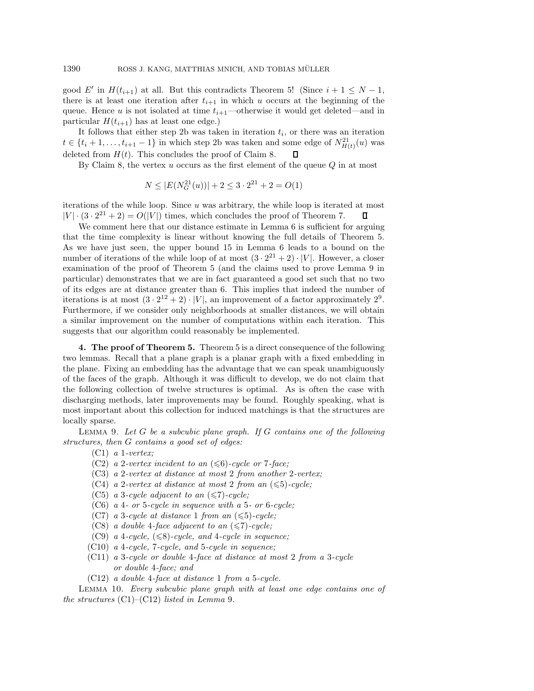good E' in  $H(t_{i+1})$  at all. But this contradicts Theorem 5! (Since  $i + 1 \leq N - 1$ , there is at least one iteration after  $t_{i+1}$  in which u occurs at the beginning of the queue. Hence u is not isolated at time  $t_{i+1}$ —otherwise it would get deleted—and in particular  $H(t_{i+1})$  has at least one edge.)

It follows that either step 2b was taken in iteration  $t_i$ , or there was an iteration  $t \in \{t_i + 1, \ldots, t_{i+1} - 1\}$  in which step 2b was taken and some edge of  $N_{H(t)}^{21}(u)$  was deleted from  $H(t)$ . This concludes the proof of Claim 8.

By Claim 8, the vertex  $u$  occurs as the first element of the queue  $Q$  in at most

$$
N \leq |E(N_G^{21}(u))| + 2 \leq 3 \cdot 2^{21} + 2 = O(1)
$$

iterations of the while loop. Since  $u$  was arbitrary, the while loop is iterated at most  $|V| \cdot (3 \cdot 2^{21} + 2) = O(|V|)$  times, which concludes the proof of Theorem 7.

We comment here that our distance estimate in Lemma 6 is sufficient for arguing that the time complexity is linear without knowing the full details of Theorem 5. As we have just seen, the upper bound 15 in Lemma 6 leads to a bound on the number of iterations of the while loop of at most  $(3 \cdot 2^{21} + 2) \cdot |V|$ . However, a closer examination of the proof of Theorem 5 (and the claims used to prove Lemma 9 in particular) demonstrates that we are in fact guaranteed a good set such that no two of its edges are at distance greater than 6. This implies that indeed the number of iterations is at most  $(3 \cdot 2^{12} + 2) \cdot |V|$ , an improvement of a factor approximately  $2^9$ . Furthermore, if we consider only neighborhoods at smaller distances, we will obtain a similar improvement on the number of computations within each iteration. This suggests that our algorithm could reasonably be implemented.

**4. The proof of Theorem 5.** Theorem 5 is a direct consequence of the following two lemmas. Recall that a plane graph is a planar graph with a fixed embedding in the plane. Fixing an embedding has the advantage that we can speak unambiguously of the faces of the graph. Although it was difficult to develop, we do not claim that the following collection of twelve structures is optimal. As is often the case with discharging methods, later improvements may be found. Roughly speaking, what is most important about this collection for induced matchings is that the structures are locally sparse.

Lemma 9. *Let* G *be a subcubic plane graph. If* G *contains one of the following structures, then* G *contains a good set of edges:*

- (C1) *a* 1*-vertex;*
- $(C2)$  *a* 2-vertex incident to an  $(\leq 6)$ -cycle or 7-face;
- (C3) *a* 2*-vertex at distance at most* 2 *from another* 2*-vertex;*
- $(C4)$  *a* 2*-vertex at distance at most* 2 *from an*  $(\leqslant 5)$ *-cycle*;
- $(C5)$  *a* 3*-cycle adjacent to an*  $(\leq 7)$ *-cycle*;
- (C6) *a* 4 *or* 5*-cycle in sequence with a* 5 *or* 6*-cycle;*
- $(C7)$  *a* 3*-cycle at distance* 1 *from an*  $(\leqslant 5)$ *-cycle*;
- $(C8)$  *a double* 4-face adjacent to an  $(\leq 7)$ -cycle;
- $(C9)$  *a* 4*-cycle,*  $(\leq 8)$ *-cycle, and* 4*-cycle in sequence*;
- (C10) *a* 4*-cycle,* 7*-cycle, and* 5*-cycle in sequence;*
- (C11) *a* 3*-cycle or double* 4*-face at distance at most* 2 *from a* 3*-cycle or double* 4*-face; and*
- (C12) *a double* 4*-face at distance* 1 *from a* 5*-cycle.*

Lemma 10. *Every subcubic plane graph with at least one edge contains one of the structures* (C1)–(C12) *listed in Lemma* 9*.*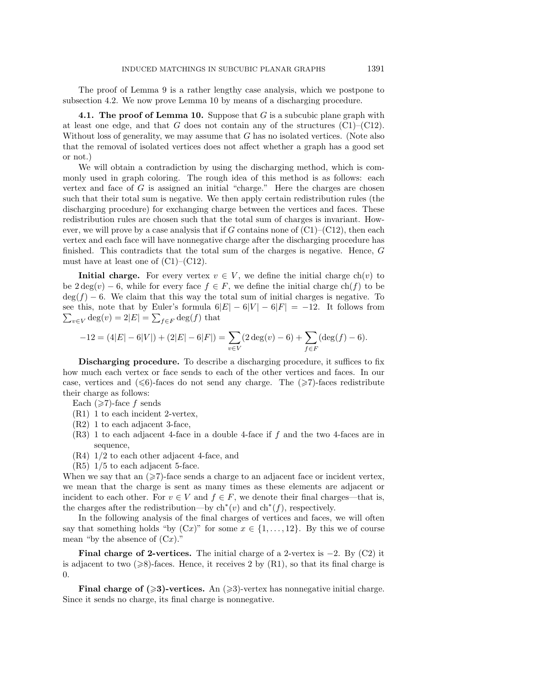The proof of Lemma 9 is a rather lengthy case analysis, which we postpone to subsection 4.2. We now prove Lemma 10 by means of a discharging procedure.

**4.1. The proof of Lemma 10.** Suppose that G is a subcubic plane graph with at least one edge, and that G does not contain any of the structures  $(C1)$ – $(C12)$ . Without loss of generality, we may assume that  $G$  has no isolated vertices. (Note also that the removal of isolated vertices does not affect whether a graph has a good set or not.)

We will obtain a contradiction by using the discharging method, which is commonly used in graph coloring. The rough idea of this method is as follows: each vertex and face of  $G$  is assigned an initial "charge." Here the charges are chosen such that their total sum is negative. We then apply certain redistribution rules (the discharging procedure) for exchanging charge between the vertices and faces. These redistribution rules are chosen such that the total sum of charges is invariant. However, we will prove by a case analysis that if G contains none of  $(C1)$ – $(C12)$ , then each vertex and each face will have nonnegative charge after the discharging procedure has finished. This contradicts that the total sum of the charges is negative. Hence, G must have at least one of  $(C1)$ – $(C12)$ .

**Initial charge.** For every vertex  $v \in V$ , we define the initial charge  $ch(v)$  to be  $2 \deg(v) - 6$ , while for every face  $f \in F$ , we define the initial charge ch(f) to be  $\deg(f) - 6$ . We claim that this way the total sum of initial charges is negative. To  $\sum_{v\in V} \deg(v) = 2|E| = \sum_{f\in F} \deg(f)$  that see this, note that by Euler's formula  $6|E| - 6|V| - 6|F| = -12$ . It follows from

$$
-12 = (4|E| - 6|V|) + (2|E| - 6|F|) = \sum_{v \in V} (2 \deg(v) - 6) + \sum_{f \in F} (\deg(f) - 6).
$$

**Discharging procedure.** To describe a discharging procedure, it suffices to fix how much each vertex or face sends to each of the other vertices and faces. In our case, vertices and  $(\leq 6)$ -faces do not send any charge. The  $(\geq 7)$ -faces redistribute their charge as follows:

- Each  $(\geq 7)$ -face f sends
- (R1) 1 to each incident 2-vertex,
- (R2) 1 to each adjacent 3-face,
- $(R3)$  1 to each adjacent 4-face in a double 4-face if f and the two 4-faces are in sequence,
- (R4) 1/2 to each other adjacent 4-face, and
- (R5) 1/5 to each adjacent 5-face.

When we say that an  $(\geq 7)$ -face sends a charge to an adjacent face or incident vertex, we mean that the charge is sent as many times as these elements are adjacent or incident to each other. For  $v \in V$  and  $f \in F$ , we denote their final charges—that is, the charges after the redistribution—by  $\mathrm{ch}^*(v)$  and  $\mathrm{ch}^*(f)$ , respectively.

In the following analysis of the final charges of vertices and faces, we will often say that something holds "by  $(Cx)$ " for some  $x \in \{1, \ldots, 12\}$ . By this we of course mean "by the absence of  $(Cx)$ ."

**Final charge of 2-vertices.** The initial charge of a 2-vertex is  $-2$ . By (C2) it is adjacent to two  $(\geq 8)$ -faces. Hence, it receives 2 by  $(R1)$ , so that its final charge is 0.

**Final charge of**  $(\geq 3)$ **-vertices.** An  $(\geq 3)$ -vertex has nonnegative initial charge. Since it sends no charge, its final charge is nonnegative.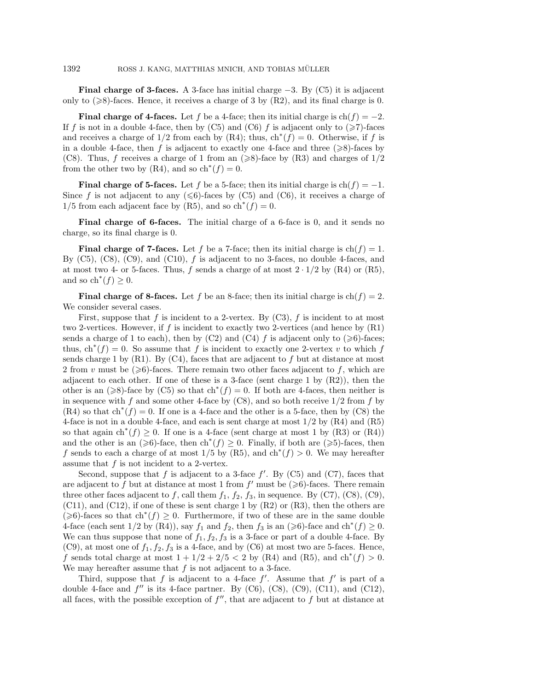**Final charge of 3-faces.** A 3-face has initial charge  $-3$ . By (C5) it is adjacent only to  $(\geq 8)$ -faces. Hence, it receives a charge of 3 by  $(R2)$ , and its final charge is 0.

**Final charge of 4-faces.** Let f be a 4-face; then its initial charge is  $ch(f) = -2$ . If f is not in a double 4-face, then by (C5) and (C6) f is adjacent only to  $(\geq 7)$ -faces and receives a charge of  $1/2$  from each by (R4); thus,  $\text{ch}^*(f) = 0$ . Otherwise, if f is in a double 4-face, then f is adjacent to exactly one 4-face and three  $(\geq 8)$ -faces by (C8). Thus, f receives a charge of 1 from an  $(\geq 8)$ -face by (R3) and charges of  $1/2$ from the other two by (R4), and so  $\mathrm{ch}^*(f) = 0$ .

**Final charge of 5-faces.** Let f be a 5-face; then its initial charge is  $ch(f) = -1$ . Since f is not adjacent to any  $(\leq 6)$ -faces by (C5) and (C6), it receives a charge of  $1/5$  from each adjacent face by (R5), and so  $\mathrm{ch}^*(f) = 0$ .

**Final charge of 6-faces.** The initial charge of a 6-face is 0, and it sends no charge, so its final charge is 0.

**Final charge of 7-faces.** Let f be a 7-face; then its initial charge is  $ch(f) = 1$ . By  $(C5)$ ,  $(C8)$ ,  $(C9)$ , and  $(C10)$ , f is adjacent to no 3-faces, no double 4-faces, and at most two 4- or 5-faces. Thus, f sends a charge of at most  $2 \cdot 1/2$  by (R4) or (R5), and so  $\text{ch}^*(f) \geq 0$ .

**Final charge of 8-faces.** Let f be an 8-face; then its initial charge is  $ch(f) = 2$ . We consider several cases.

First, suppose that f is incident to a 2-vertex. By  $(C3)$ , f is incident to at most two 2-vertices. However, if f is incident to exactly two 2-vertices (and hence by (R1) sends a charge of 1 to each), then by (C2) and (C4) f is adjacent only to ( $\geq 6$ )-faces; thus,  $ch^*(f) = 0$ . So assume that f is incident to exactly one 2-vertex v to which f sends charge 1 by  $(R1)$ . By  $(C4)$ , faces that are adjacent to f but at distance at most 2 from v must be  $(\geq 6)$ -faces. There remain two other faces adjacent to f, which are adjacent to each other. If one of these is a 3-face (sent charge 1 by  $(R2)$ ), then the other is an ( $\geq 8$ )-face by (C5) so that ch<sup>∗</sup>(f) = 0. If both are 4-faces, then neither is in sequence with f and some other 4-face by  $(C8)$ , and so both receive  $1/2$  from f by  $(R4)$  so that  $\mathrm{ch}^*(f) = 0$ . If one is a 4-face and the other is a 5-face, then by (C8) the 4-face is not in a double 4-face, and each is sent charge at most 1/2 by (R4) and (R5) so that again  $\text{ch}^*(f) \geq 0$ . If one is a 4-face (sent charge at most 1 by (R3) or (R4)) and the other is an ( $\geq 6$ )-face, then ch<sup>\*</sup>(f) ≥ 0. Finally, if both are ( $\geq 5$ )-faces, then f sends to each a charge of at most 1/5 by (R5), and  $\text{ch}^*(f) > 0$ . We may hereafter assume that  $f$  is not incident to a 2-vertex.

Second, suppose that  $f$  is adjacent to a 3-face  $f'$ . By (C5) and (C7), faces that are adjacent to f but at distance at most 1 from  $f'$  must be  $(\geq 6)$ -faces. There remain three other faces adjacent to f, call them  $f_1$ ,  $f_2$ ,  $f_3$ , in sequence. By (C7), (C8), (C9),  $(C11)$ , and  $(C12)$ , if one of these is sent charge 1 by  $(R2)$  or  $(R3)$ , then the others are  $(\geq 6)$ -faces so that ch<sup>\*</sup>(f) ≥ 0. Furthermore, if two of these are in the same double 4-face (each sent  $1/2$  by  $(R4)$ ), say  $f_1$  and  $f_2$ , then  $f_3$  is an  $(\geq 6)$ -face and  $\text{ch}^*(f) \geq 0$ . We can thus suppose that none of  $f_1, f_2, f_3$  is a 3-face or part of a double 4-face. By (C9), at most one of  $f_1, f_2, f_3$  is a 4-face, and by (C6) at most two are 5-faces. Hence, f sends total charge at most  $1 + 1/2 + 2/5 < 2$  by (R4) and (R5), and ch<sup>\*</sup>(f) > 0. We may hereafter assume that  $f$  is not adjacent to a 3-face.

Third, suppose that f is adjacent to a 4-face  $f'$ . Assume that  $f'$  is part of a double 4-face and  $f''$  is its 4-face partner. By (C6), (C8), (C9), (C11), and (C12), all faces, with the possible exception of  $f''$ , that are adjacent to f but at distance at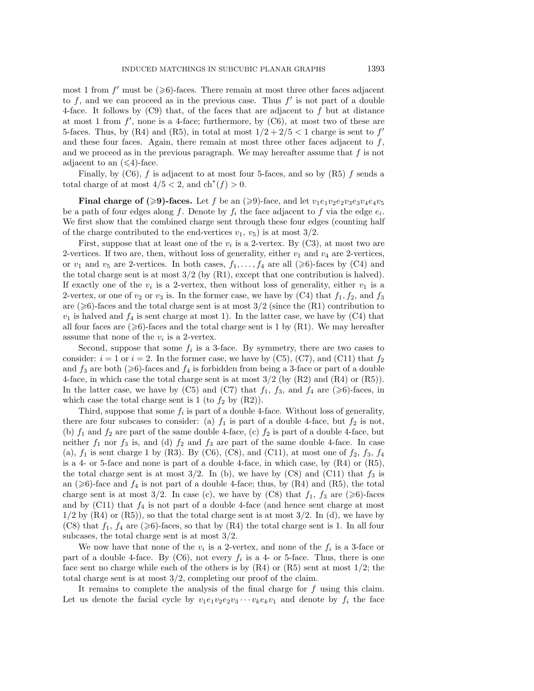most 1 from f' must be  $(\geqslant 6)$ -faces. There remain at most three other faces adjacent to  $f$ , and we can proceed as in the previous case. Thus  $f'$  is not part of a double 4-face. It follows by  $(C9)$  that, of the faces that are adjacent to f but at distance at most 1 from  $f'$ , none is a 4-face; furthermore, by  $(C6)$ , at most two of these are 5-faces. Thus, by (R4) and (R5), in total at most  $1/2+2/5 < 1$  charge is sent to f' and these four faces. Again, there remain at most three other faces adjacent to  $f$ , and we proceed as in the previous paragraph. We may hereafter assume that  $f$  is not adjacent to an  $(\leq 4)$ -face.

Finally, by  $(C6)$ , f is adjacent to at most four 5-faces, and so by  $(R5)$  f sends a total charge of at most  $4/5 < 2$ , and  $\text{ch}^*(f) > 0$ .

**Final charge of (>9)-faces.** Let f be an (>9)-face, and let  $v_1e_1v_2e_2v_3e_3v_4e_4v_5$ be a path of four edges along f. Denote by  $f_i$  the face adjacent to f via the edge  $e_i$ . We first show that the combined charge sent through these four edges (counting half of the charge contributed to the end-vertices  $v_1, v_5$  is at most 3/2.

First, suppose that at least one of the  $v_i$  is a 2-vertex. By (C3), at most two are 2-vertices. If two are, then, without loss of generality, either  $v_1$  and  $v_4$  are 2-vertices, or  $v_1$  and  $v_5$  are 2-vertices. In both cases,  $f_1,\ldots,f_4$  are all  $(\geq 6)$ -faces by (C4) and the total charge sent is at most  $3/2$  (by  $(R1)$ , except that one contribution is halved). If exactly one of the  $v_i$  is a 2-vertex, then without loss of generality, either  $v_1$  is a 2-vertex, or one of  $v_2$  or  $v_3$  is. In the former case, we have by (C4) that  $f_1, f_2$ , and  $f_3$ are  $(\geq 6)$ -faces and the total charge sent is at most 3/2 (since the (R1) contribution to  $v_1$  is halved and  $f_4$  is sent charge at most 1). In the latter case, we have by (C4) that all four faces are  $(\geq 6)$ -faces and the total charge sent is 1 by (R1). We may hereafter assume that none of the  $v_i$  is a 2-vertex.

Second, suppose that some  $f_i$  is a 3-face. By symmetry, there are two cases to consider:  $i = 1$  or  $i = 2$ . In the former case, we have by (C5), (C7), and (C11) that  $f_2$ and  $f_3$  are both ( $\geq 6$ )-faces and  $f_4$  is forbidden from being a 3-face or part of a double 4-face, in which case the total charge sent is at most  $3/2$  (by  $(R2)$  and  $(R4)$  or  $(R5)$ ). In the latter case, we have by (C5) and (C7) that  $f_1$ ,  $f_3$ , and  $f_4$  are ( $\geq 6$ )-faces, in which case the total charge sent is 1 (to  $f_2$  by  $(R2)$ ).

Third, suppose that some  $f_i$  is part of a double 4-face. Without loss of generality, there are four subcases to consider: (a)  $f_1$  is part of a double 4-face, but  $f_2$  is not, (b)  $f_1$  and  $f_2$  are part of the same double 4-face, (c)  $f_2$  is part of a double 4-face, but neither  $f_1$  nor  $f_3$  is, and (d)  $f_2$  and  $f_3$  are part of the same double 4-face. In case (a),  $f_1$  is sent charge 1 by (R3). By (C6), (C8), and (C11), at most one of  $f_2$ ,  $f_3$ ,  $f_4$ is a 4- or 5-face and none is part of a double 4-face, in which case, by  $(R4)$  or  $(R5)$ , the total charge sent is at most  $3/2$ . In (b), we have by (C8) and (C11) that  $f_3$  is an  $(\geq 6)$ -face and  $f_4$  is not part of a double 4-face; thus, by  $(R4)$  and  $(R5)$ , the total charge sent is at most 3/2. In case (c), we have by (C8) that  $f_1$ ,  $f_3$  are ( $\geq 6$ )-faces and by  $(Cl1)$  that  $f_4$  is not part of a double 4-face (and hence sent charge at most  $1/2$  by  $(R4)$  or  $(R5)$ , so that the total charge sent is at most  $3/2$ . In (d), we have by (C8) that  $f_1$ ,  $f_4$  are ( $\geq 6$ )-faces, so that by (R4) the total charge sent is 1. In all four subcases, the total charge sent is at most 3/2.

We now have that none of the  $v_i$  is a 2-vertex, and none of the  $f_i$  is a 3-face or part of a double 4-face. By (C6), not every  $f_i$  is a 4- or 5-face. Thus, there is one face sent no charge while each of the others is by  $(R4)$  or  $(R5)$  sent at most  $1/2$ ; the total charge sent is at most 3/2, completing our proof of the claim.

It remains to complete the analysis of the final charge for  $f$  using this claim. Let us denote the facial cycle by  $v_1e_1v_2e_2v_3\cdots v_ke_kv_1$  and denote by  $f_i$  the face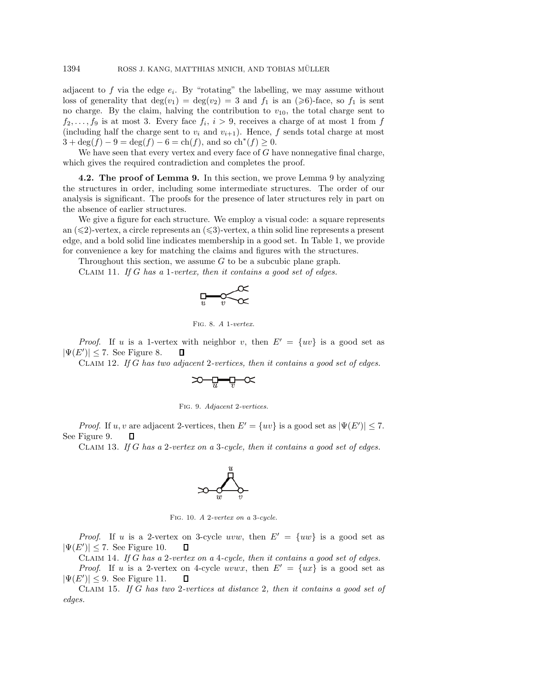adjacent to  $f$  via the edge  $e_i$ . By "rotating" the labelling, we may assume without loss of generality that  $deg(v_1) = deg(v_2) = 3$  and  $f_1$  is an  $(\geq 6)$ -face, so  $f_1$  is sent no charge. By the claim, halving the contribution to  $v_{10}$ , the total charge sent to  $f_2,\ldots,f_9$  is at most 3. Every face  $f_i, i > 9$ , receives a charge of at most 1 from f (including half the charge sent to  $v_i$  and  $v_{i+1}$ ). Hence, f sends total charge at most  $3 + \deg(f) - 9 = \deg(f) - 6 = \text{ch}(f)$ , and so  $\text{ch}^*(f) \geq 0$ .

We have seen that every vertex and every face of  $G$  have nonnegative final charge, which gives the required contradiction and completes the proof.

**4.2. The proof of Lemma 9.** In this section, we prove Lemma 9 by analyzing the structures in order, including some intermediate structures. The order of our analysis is significant. The proofs for the presence of later structures rely in part on the absence of earlier structures.

We give a figure for each structure. We employ a visual code: a square represents an  $(\leqslant 2)$ -vertex, a circle represents an  $(\leqslant 3)$ -vertex, a thin solid line represents a present edge, and a bold solid line indicates membership in a good set. In Table 1, we provide for convenience a key for matching the claims and figures with the structures.

Throughout this section, we assume  $G$  to be a subcubic plane graph.

Claim 11. *If* G *has a* 1*-vertex, then it contains a good set of edges.*

$$
\lim_{u\longrightarrow v}\text{Re}\infty
$$

Fig. 8. *A* 1*-vertex.*

*Proof.* If u is a 1-vertex with neighbor v, then  $E' = \{uv\}$  is a good set as  $|\Psi(E')| \leq 7$ . See Figure 8. Л

Claim 12. *If* G *has two adjacent* 2*-vertices, then it contains a good set of edges.*

$$
\text{supp} \, \alpha
$$



*Proof.* If u, v are adjacent 2-vertices, then  $E' = \{uv\}$  is a good set as  $|\Psi(E')| \leq 7$ . See Figure 9. O

Claim 13. *If* G *has a* 2*-vertex on a* 3*-cycle, then it contains a good set of edges.*



Fig. 10. *A* 2*-vertex on a* 3*-cycle.*

*Proof.* If u is a 2-vertex on 3-cycle uvw, then  $E' = \{uw\}$  is a good set as  $|\Psi(E')| \leq 7$ . See Figure 10. Д

Claim 14. *If* G *has a* 2*-vertex on a* 4*-cycle, then it contains a good set of edges.*

*Proof.* If u is a 2-vertex on 4-cycle uvwx, then  $E' = \{ux\}$  is a good set as  $|\Psi(E')| \leq 9$ . See Figure 11. O

Claim 15. *If* G *has two* 2*-vertices at distance* 2*, then it contains a good set of edges.*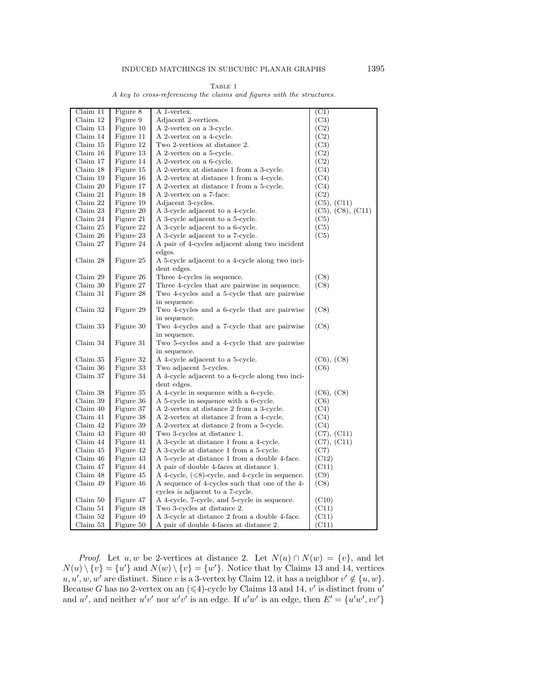|  |  |  | A key to cross-referencing the claims and figures with the structures. |  |  |  |  |  |  |  |  |
|--|--|--|------------------------------------------------------------------------|--|--|--|--|--|--|--|--|
|--|--|--|------------------------------------------------------------------------|--|--|--|--|--|--|--|--|

| Claim 11 | Figure 8  | A 1-vertex.                                            | (C1)              |
|----------|-----------|--------------------------------------------------------|-------------------|
| Claim 12 | Figure 9  | Adjacent 2-vertices.                                   | (C3)              |
| Claim 13 | Figure 10 | A 2-vertex on a 3-cycle.                               | (C2)              |
| Claim 14 | Figure 11 | A 2-vertex on a 4-cycle.                               | (C2)              |
| Claim 15 | Figure 12 | Two 2-vertices at distance 2.                          | (C3)              |
| Claim 16 | Figure 13 | A 2-vertex on a 5-cycle.                               | (C2)              |
| Claim 17 | Figure 14 | A 2-vertex on a 6-cycle.                               | (C2)              |
| Claim 18 | Figure 15 | A 2-vertex at distance 1 from a 3-cycle.               | (C4)              |
| Claim 19 | Figure 16 | A 2-vertex at distance 1 from a 4-cycle.               | (C4)              |
| Claim 20 | Figure 17 | A 2-vertex at distance 1 from a 5-cycle.               | (C4)              |
| Claim 21 | Figure 18 | A 2-vertex on a 7-face.                                | (C2)              |
| Claim 22 | Figure 19 | Adjacent 3-cycles.                                     | (C5), (C11)       |
| Claim 23 | Figure 20 | A 3-cycle adjacent to a 4-cycle.                       | (C5), (C8), (C11) |
| Claim 24 | Figure 21 | A 3-cycle adjacent to a 5-cycle.                       | (C5)              |
| Claim 25 | Figure 22 | A 3-cycle adjacent to a 6-cycle.                       | (C5)              |
| Claim 26 | Figure 23 | A 3-cycle adjacent to a 7-cycle.                       | (C5)              |
| Claim 27 | Figure 24 | A pair of 4-cycles adjacent along two incident         |                   |
|          |           | edges.                                                 |                   |
| Claim 28 | Figure 25 | A 5-cycle adjacent to a 4-cycle along two inci-        |                   |
|          |           | dent edges.                                            |                   |
| Claim 29 | Figure 26 | Three 4-cycles in sequence.                            | (C8)              |
| Claim 30 | Figure 27 | Three 4-cycles that are pairwise in sequence.          | (C8)              |
| Claim 31 | Figure 28 | Two 4-cycles and a 5-cycle that are pairwise           |                   |
|          |           | in sequence.                                           |                   |
| Claim 32 | Figure 29 | Two 4-cycles and a 6-cycle that are pairwise           | (C8)              |
|          |           | in sequence.                                           |                   |
| Claim 33 | Figure 30 | Two 4-cycles and a 7-cycle that are pairwise           | (C8)              |
|          |           | in sequence.                                           |                   |
| Claim 34 | Figure 31 | Two 5-cycles and a 4-cycle that are pairwise           |                   |
|          |           | in sequence.                                           |                   |
| Claim 35 | Figure 32 | A 4-cycle adjacent to a 5-cycle.                       | (C6), (C8)        |
| Claim 36 | Figure 33 | Two adjacent 5-cycles.                                 | (C6)              |
| Claim 37 | Figure 34 | A 4-cycle adjacent to a 6-cycle along two inci-        |                   |
|          |           | dent edges.                                            |                   |
| Claim 38 | Figure 35 | A 4-cycle in sequence with a 6-cycle.                  | (C6), (C8)        |
| Claim 39 | Figure 36 | A 5-cycle in sequence with a 6-cycle.                  | (C6)              |
| Claim 40 | Figure 37 | A 2-vertex at distance 2 from a 3-cycle.               | (C4)              |
| Claim 41 | Figure 38 | A 2-vertex at distance 2 from a 4-cycle.               | (C4)              |
| Claim 42 | Figure 39 | A 2-vertex at distance 2 from a 5-cycle.               | (C4)              |
| Claim 43 | Figure 40 | Two 3-cycles at distance 1.                            | (C7), (C11)       |
| Claim 44 | Figure 41 | A 3-cycle at distance 1 from a 4-cycle.                | (C7), (C11)       |
| Claim 45 | Figure 42 | A 3-cycle at distance 1 from a 5-cycle.                | (C7)              |
| Claim 46 | Figure 43 | A 5-cycle at distance 1 from a double 4-face.          | (C12)             |
| Claim 47 | Figure 44 | A pair of double 4-faces at distance 1.                | (C11)             |
| Claim 48 | Figure 45 | A 4-cycle, $(\leq 8)$ -cycle, and 4-cycle in sequence. | (C9)              |
| Claim 49 | Figure 46 | A sequence of 4-cycles such that one of the 4-         | (C8)              |
|          |           | cycles is adjacent to a 7-cycle.                       |                   |
| Claim 50 | Figure 47 | A 4-cycle, 7-cycle, and 5-cycle in sequence.           | (C10)             |
| Claim 51 | Figure 48 | Two 3-cycles at distance 2.                            | (C11)             |
|          |           |                                                        |                   |
| Claim 52 | Figure 49 | A 3-cycle at distance 2 from a double 4-face.          | (C11)             |
| Claim 53 | Figure 50 | A pair of double 4-faces at distance 2.                | (C11)             |

*Proof.* Let u, w be 2-vertices at distance 2. Let  $N(u) \cap N(w) = \{v\}$ , and let  $N(u) \setminus \{v\} = \{u'\}$  and  $N(w) \setminus \{v\} = \{w'\}.$  Notice that by Claims 13 and 14, vertices  $u, u', w, w'$  are distinct. Since v is a 3-vertex by Claim 12, it has a neighbor  $v' \notin \{u, w\}$ . Because G has no 2-vertex on an  $(\leq 4)$ -cycle by Claims 13 and 14, v' is distinct from  $u'$ and w', and neither  $u'v'$  nor  $w'v'$  is an edge. If  $u'w'$  is an edge, then  $E' = \{u'w', vv'\}$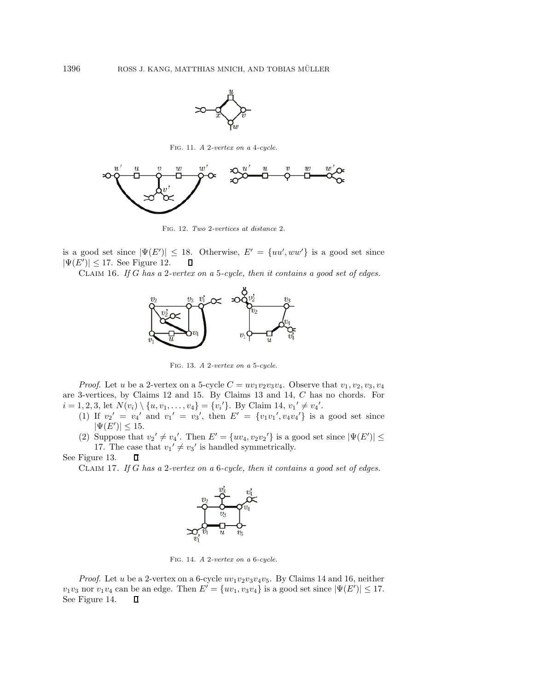

Fig. 11. *A* 2*-vertex on a* 4*-cycle.*



Fig. 12. *Two* 2*-vertices at distance* 2*.*

is a good set since  $|\Psi(E')| \leq 18$ . Otherwise,  $E' = \{uu', ww'\}$  is a good set since  $|\Psi(E')| \leq 17$ . See Figure 12.  $\Box$ 

Claim 16. *If* G *has a* 2*-vertex on a* 5*-cycle, then it contains a good set of edges.*



Fig. 13. *A* 2*-vertex on a* 5*-cycle.*

*Proof.* Let u be a 2-vertex on a 5-cycle  $C = uv_1v_2v_3v_4$ . Observe that  $v_1, v_2, v_3, v_4$ are 3-vertices, by Claims 12 and 15. By Claims 13 and 14, C has no chords. For  $i = 1, 2, 3$ , let  $N(v_i) \setminus \{u, v_1, \ldots, v_4\} = \{v_i'\}$ . By Claim 14,  $v_1' \neq v_4'$ .

- (1) If  $v_2' = v_4'$  and  $v_1' = v_3'$ , then  $E' = \{v_1v_1', v_4v_4'\}$  is a good set since  $|\Psi(E')| \leq 15.$
- (2) Suppose that  $v_2' \neq v_4'$ . Then  $E' = \{uv_4, v_2v_2'\}$  is a good set since  $|\Psi(E')| \leq$ 17. The case that  $v_1' \neq v_3'$  is handled symmetrically.

See Figure 13. П

Claim 17. *If* G *has a* 2*-vertex on a* 6*-cycle, then it contains a good set of edges.*



Fig. 14. *A* 2*-vertex on a* 6*-cycle.*

*Proof.* Let u be a 2-vertex on a 6-cycle  $uv_1v_2v_3v_4v_5$ . By Claims 14 and 16, neither  $v_1v_3$  nor  $v_1v_4$  can be an edge. Then  $E' = \{uv_1, v_3v_4\}$  is a good set since  $|\Psi(E')| \leq 17$ . See Figure 14. $\Box$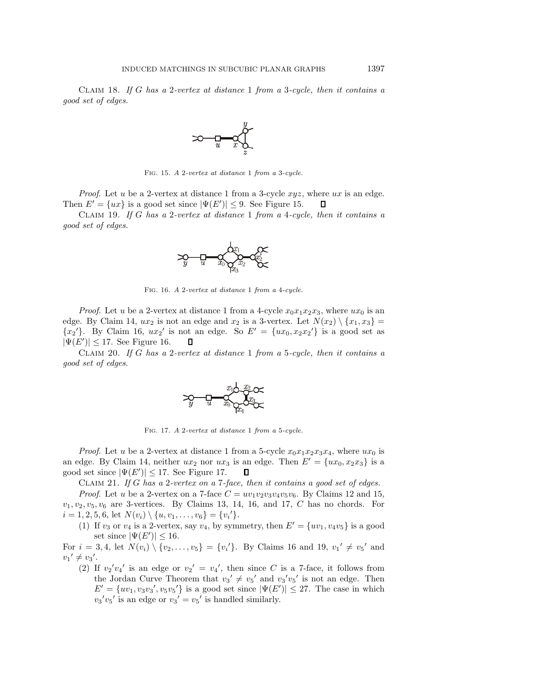Claim 18. *If* G *has a* 2*-vertex at distance* 1 *from a* 3*-cycle, then it contains a good set of edges.*



Fig. 15. *A* 2*-vertex at distance* 1 *from a* 3*-cycle.*

*Proof.* Let u be a 2-vertex at distance 1 from a 3-cycle  $xyz$ , where ux is an edge. Then  $E' = \{ux\}$  is a good set since  $|\Psi(E')| \leq 9$ . See Figure 15. П

Claim 19. *If* G *has a* 2*-vertex at distance* 1 *from a* 4*-cycle, then it contains a good set of edges.*



Fig. 16. *A* 2*-vertex at distance* 1 *from a* 4*-cycle.*

*Proof.* Let u be a 2-vertex at distance 1 from a 4-cycle  $x_0x_1x_2x_3$ , where  $ux_0$  is an edge. By Claim 14,  $ux_2$  is not an edge and  $x_2$  is a 3-vertex. Let  $N(x_2) \setminus \{x_1, x_3\} =$  ${x_2}'$ . By Claim 16,  $ux_2'$  is not an edge. So  $E' = {ux_0, x_2x_2'}$  is a good set as  $|\Psi(E')| \leq 17$ . See Figure 16. 0

Claim 20. *If* G *has a* 2*-vertex at distance* 1 *from a* 5*-cycle, then it contains a good set of edges.*



Fig. 17. *A* 2*-vertex at distance* 1 *from a* 5*-cycle.*

*Proof.* Let u be a 2-vertex at distance 1 from a 5-cycle  $x_0x_1x_2x_3x_4$ , where  $ux_0$  is an edge. By Claim 14, neither  $ux_2$  nor  $ux_3$  is an edge. Then  $E' = \{ux_0, x_2x_3\}$  is a good set since  $|\Psi(E')| \leq 17$ . See Figure 17.  $\Box$ 

Claim 21. *If* G *has a* 2*-vertex on a* 7*-face, then it contains a good set of edges.*

*Proof.* Let u be a 2-vertex on a 7-face  $C = uv_1v_2v_3v_4v_5v_6$ . By Claims 12 and 15,  $v_1, v_2, v_5, v_6$  are 3-vertices. By Claims 13, 14, 16, and 17, C has no chords. For  $i = 1, 2, 5, 6$ , let  $N(v_i) \setminus \{u, v_1, \ldots, v_6\} = \{v_i'\}.$ 

(1) If  $v_3$  or  $v_4$  is a 2-vertex, say  $v_4$ , by symmetry, then  $E' = \{uv_1, v_4v_5\}$  is a good set since  $|\Psi(E')| \leq 16$ .

For  $i = 3, 4$ , let  $N(v_i) \setminus \{v_2, \ldots, v_5\} = \{v_i'\}$ . By Claims 16 and 19,  $v_1' \neq v_5'$  and  $v_1' \neq v_3'.$ 

(2) If  $v_2'v_4'$  is an edge or  $v_2' = v_4'$ , then since C is a 7-face, it follows from the Jordan Curve Theorem that  $v_3' \neq v_5'$  and  $v_3'v_5'$  is not an edge. Then  $E' = \{uv_1, v_3v_3', v_5v_5'\}$  is a good set since  $|\Psi(E')| \leq 27$ . The case in which  $v_3'v_5'$  is an edge or  $v_3' = v_5'$  is handled similarly.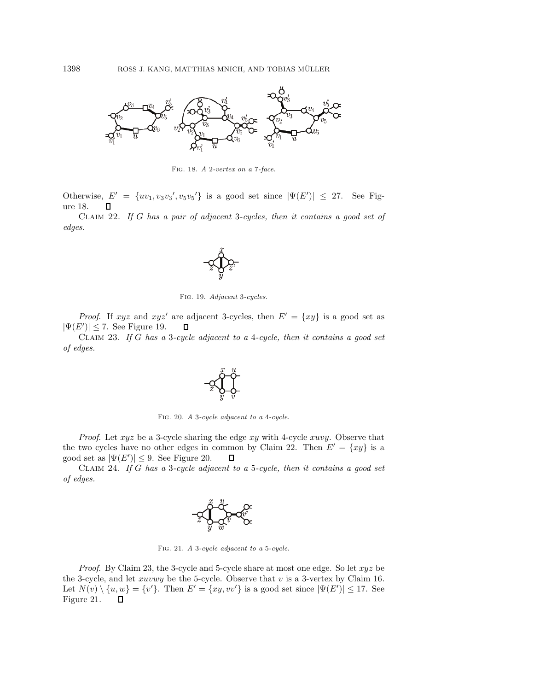

Fig. 18. *A* 2*-vertex on a* 7*-face.*

Otherwise,  $E' = \{uv_1, v_3v_3', v_5v_5'\}$  is a good set since  $|\Psi(E')| \leq 27$ . See Figure 18.

Claim 22. *If* G *has a pair of adjacent* 3*-cycles, then it contains a good set of edges.*



Fig. 19. *Adjacent* 3*-cycles.*

*Proof.* If xyz and xyz' are adjacent 3-cycles, then  $E' = \{xy\}$  is a good set as  $|\Psi(E')| \leq 7$ . See Figure 19. Д

Claim 23. *If* G *has a* 3*-cycle adjacent to a* 4*-cycle, then it contains a good set of edges.*



Fig. 20. *A* 3*-cycle adjacent to a* 4*-cycle.*

*Proof.* Let xyz be a 3-cycle sharing the edge xy with 4-cycle xuvy. Observe that the two cycles have no other edges in common by Claim 22. Then  $E' = \{xy\}$  is a good set as  $|\Psi(E')| \leq 9$ . See Figure 20.  $\Box$ 

Claim 24. *If* G *has a* 3*-cycle adjacent to a* 5*-cycle, then it contains a good set of edges.*



Fig. 21. *A* 3*-cycle adjacent to a* 5*-cycle.*

*Proof.* By Claim 23, the 3-cycle and 5-cycle share at most one edge. So let  $xyz$  be the 3-cycle, and let  $xuvwy$  be the 5-cycle. Observe that  $v$  is a 3-vertex by Claim 16. Let  $N(v) \setminus \{u, w\} = \{v'\}.$  Then  $E' = \{xy, vv'\}$  is a good set since  $|\Psi(E')| \leq 17.$  See Figure 21. $\Box$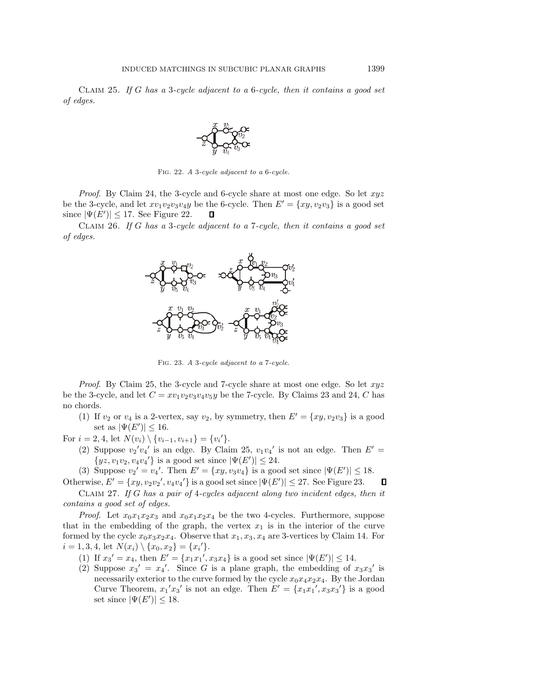Claim 25. *If* G *has a* 3*-cycle adjacent to a* 6*-cycle, then it contains a good set of edges.*



Fig. 22. *A* 3*-cycle adjacent to a* 6*-cycle.*

*Proof.* By Claim 24, the 3-cycle and 6-cycle share at most one edge. So let  $xyz$ be the 3-cycle, and let  $xv_1v_2v_3v_4y$  be the 6-cycle. Then  $E' = \{xy, v_2v_3\}$  is a good set since  $|\Psi(E')| \leq 17$ . See Figure 22. П

Claim 26. *If* G *has a* 3*-cycle adjacent to a* 7*-cycle, then it contains a good set of edges.*



Fig. 23. *A* 3*-cycle adjacent to a* 7*-cycle.*

*Proof.* By Claim 25, the 3-cycle and 7-cycle share at most one edge. So let  $xyz$ be the 3-cycle, and let  $C = xv_1v_2v_3v_4v_5y$  be the 7-cycle. By Claims 23 and 24, C has no chords.

(1) If  $v_2$  or  $v_4$  is a 2-vertex, say  $v_2$ , by symmetry, then  $E' = \{xy, v_2v_3\}$  is a good set as  $|\Psi(E')| \leq 16$ .

For  $i = 2, 4$ , let  $N(v_i) \setminus \{v_{i-1}, v_{i+1}\} = \{v_i'\}.$ 

- (2) Suppose  $v_2'v_4'$  is an edge. By Claim 25,  $v_1v_4'$  is not an edge. Then  $E'$  =  $\{yz, v_1v_2, v_4v_4\}$  is a good set since  $|\Psi(E')| \leq 24$ .
- (3) Suppose  $v_2' = v_4'$ . Then  $E' = \{xy, v_3v_4\}$  is a good set since  $|\Psi(E')| \leq 18$ .

Otherwise,  $E' = \{xy, v_2v_2', v_4v_4'\}$  is a good set since  $|\Psi(E')| \leq 27$ . See Figure 23.  $\Box$ 

Claim 27. *If* G *has a pair of* 4*-cycles adjacent along two incident edges, then it contains a good set of edges.*

*Proof.* Let  $x_0x_1x_2x_3$  and  $x_0x_1x_2x_4$  be the two 4-cycles. Furthermore, suppose that in the embedding of the graph, the vertex  $x_1$  is in the interior of the curve formed by the cycle  $x_0x_3x_2x_4$ . Observe that  $x_1, x_3, x_4$  are 3-vertices by Claim 14. For  $i = 1, 3, 4$ , let  $N(x_i) \setminus \{x_0, x_2\} = \{x_i'\}.$ 

- (1) If  $x_3' = x_4$ , then  $E' = \{x_1x_1', x_3x_4\}$  is a good set since  $|\Psi(E')| \le 14$ .
- (2) Suppose  $x_3' = x_4'$ . Since G is a plane graph, the embedding of  $x_3x_3'$  is necessarily exterior to the curve formed by the cycle  $x_0x_4x_2x_4$ . By the Jordan Curve Theorem,  $x_1'x_3'$  is not an edge. Then  $E' = \{x_1x_1', x_3x_3'\}$  is a good set since  $|\Psi(E')| \leq 18$ .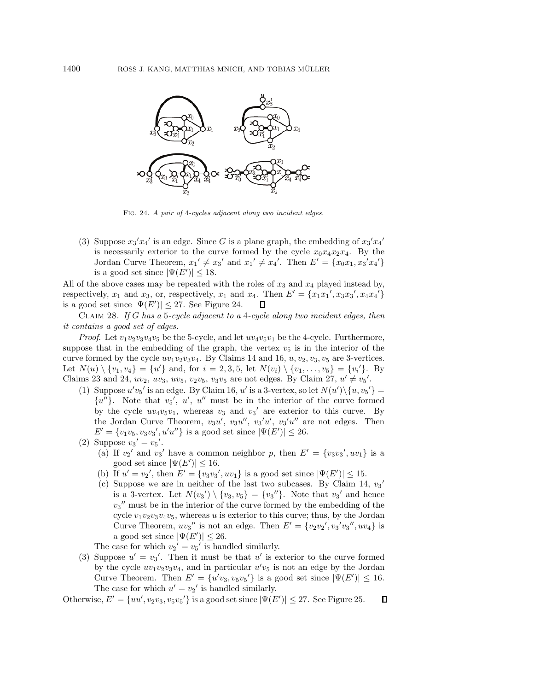

Fig. 24. *A pair of* 4*-cycles adjacent along two incident edges.*

(3) Suppose  $x_3'x_4'$  is an edge. Since G is a plane graph, the embedding of  $x_3'x_4'$ is necessarily exterior to the curve formed by the cycle  $x_0x_4x_2x_4$ . By the Jordan Curve Theorem,  $x_1' \neq x_3'$  and  $x_1' \neq x_4'$ . Then  $E' = \{x_0x_1, x_3'x_4'\}$ is a good set since  $|\Psi(E')| \leq 18$ .

All of the above cases may be repeated with the roles of  $x_3$  and  $x_4$  played instead by, respectively,  $x_1$  and  $x_3$ , or, respectively,  $x_1$  and  $x_4$ . Then  $E' = \{x_1x_1', x_3x_3', x_4x_4'\}$ is a good set since  $|\Psi(E')| \leq 27$ . See Figure 24. П.

Claim 28. *If* G *has a* 5*-cycle adjacent to a* 4*-cycle along two incident edges, then it contains a good set of edges.*

*Proof.* Let  $v_1v_2v_3v_4v_5$  be the 5-cycle, and let  $uv_4v_5v_1$  be the 4-cycle. Furthermore, suppose that in the embedding of the graph, the vertex  $v_5$  is in the interior of the curve formed by the cycle  $uv_1v_2v_3v_4$ . By Claims 14 and 16,  $u, v_2, v_3, v_5$  are 3-vertices. Let  $N(u) \setminus \{v_1, v_4\} = \{u'\}\$ and, for  $i = 2, 3, 5$ , let  $N(v_i) \setminus \{v_1, \ldots, v_5\} = \{v_i'\}.$  By Claims 23 and 24,  $uv_2, uv_3, uv_5, v_2v_5, v_3v_5$  are not edges. By Claim 27,  $u' \neq v_5'$ .

- (1) Suppose  $u'v_5'$  is an edge. By Claim 16, u' is a 3-vertex, so let  $N(u')\setminus\{u, v_5'\}=$  ${u''}$ . Note that  $v_5'$ , u', u'' must be in the interior of the curve formed by the cycle  $uv_4v_5v_1$ , whereas  $v_3$  and  $v_3'$  are exterior to this curve. By the Jordan Curve Theorem,  $v_3u'$ ,  $v_3u''$ ,  $v_3'u'$ ,  $v_3'u''$  are not edges. Then  $E' = \{v_1v_5, v_3v_3', u'u''\}$  is a good set since  $|\Psi(E')| \le 26$ .
- (2) Suppose  $v_3' = v_5'$ .
	- (a) If  $v_2'$  and  $v_3'$  have a common neighbor p, then  $E' = \{v_3v_3', uv_1\}$  is a good set since  $|\Psi(E')| \leq 16$ .
	- (b) If  $u' = v_2'$ , then  $E' = \{v_3v_3', uv_1\}$  is a good set since  $|\Psi(E')| \le 15$ .
	- (c) Suppose we are in neither of the last two subcases. By Claim 14,  $v_3$ ' is a 3-vertex. Let  $N(v_3') \setminus \{v_3, v_5\} = \{v_3''\}$ . Note that  $v_3'$  and hence  $v_3$ " must be in the interior of the curve formed by the embedding of the cycle  $v_1v_2v_3v_4v_5$ , whereas u is exterior to this curve; thus, by the Jordan Curve Theorem,  $uv_3''$  is not an edge. Then  $E' = \{v_2v_2', v_3'v_3'', uv_4\}$  is a good set since  $|\Psi(E')| \leq 26$ .

The case for which  $v_2' = v_5'$  is handled similarly.

(3) Suppose  $u' = v_3'$ . Then it must be that u' is exterior to the curve formed by the cycle  $uv_1v_2v_3v_4$ , and in particular  $u'v_5$  is not an edge by the Jordan Curve Theorem. Then  $E' = \{u'v_3, v_5v_5'\}$  is a good set since  $|\Psi(E')| \leq 16$ . The case for which  $u' = v_2'$  is handled similarly.

Otherwise,  $E' = \{uu', v_2v_3, v_5v_5'\}$  is a good set since  $|\Psi(E')| \le 27$ . See Figure 25.  $\Box$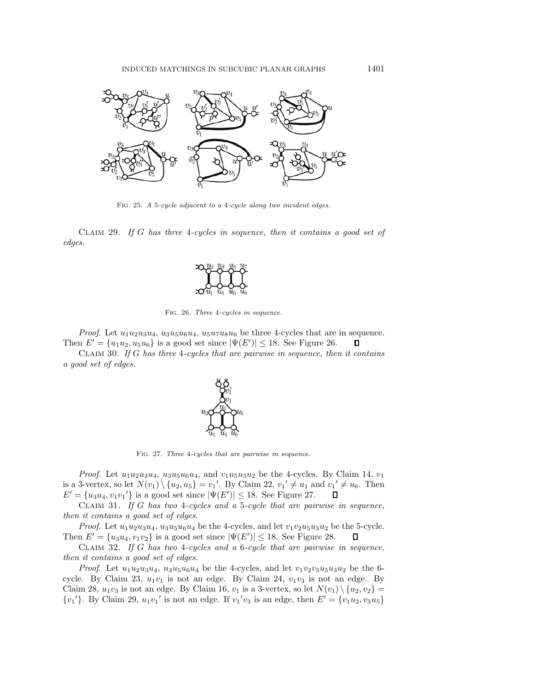

Fig. 25. *A* 5*-cycle adjacent to a* 4*-cycle along two incident edges.*

Claim 29. *If* G *has three* 4*-cycles in sequence, then it contains a good set of edges.*



Fig. 26. *Three* 4*-cycles in sequence.*

*Proof.* Let  $u_1u_2u_3u_4$ ,  $u_3u_5u_6u_4$ ,  $u_5u_7u_8u_6$  be three 4-cycles that are in sequence. Then  $E' = {u_1u_2, u_5u_6}$  is a good set since  $|\Psi(E')| \le 18$ . See Figure 26.  $\Box$ 

Claim 30. *If* G *has three* 4*-cycles that are pairwise in sequence, then it contains a good set of edges.*



Fig. 27. *Three* 4*-cycles that are pairwise in sequence.*

*Proof.* Let  $u_1u_2u_3u_4$ ,  $u_3u_5u_6u_4$ , and  $v_1u_5u_3u_2$  be the 4-cycles. By Claim 14,  $v_1$ is a 3-vertex, so let  $N(v_1) \setminus \{u_2, u_5\} = v_1'$ . By Claim 22,  $v_1' \neq u_1$  and  $v_1' \neq u_6$ . Then  $E' = \{u_3u_4, v_1v_1'\}$  is a good set since  $|\Psi(E')| \le 18$ . See Figure 27.  $\Box$ 

Claim 31. *If* G *has two* 4*-cycles and a* 5*-cycle that are pairwise in sequence, then it contains a good set of edges.*

*Proof.* Let  $u_1u_2u_3u_4$ ,  $u_3u_5u_6u_4$  be the 4-cycles, and let  $v_1v_2u_5u_3u_2$  be the 5-cycle. Then  $E' = {u_3u_4, v_1v_2}$  is a good set since  $|\Psi(E')| \le 18$ . See Figure 28.  $\Box$ 

Claim 32. *If* G *has two* 4*-cycles and a* 6*-cycle that are pairwise in sequence, then it contains a good set of edges.*

*Proof.* Let  $u_1u_2u_3u_4$ ,  $u_3u_5u_6u_4$  be the 4-cycles, and let  $v_1v_2v_3u_5u_3u_2$  be the 6cycle. By Claim 23,  $u_1v_1$  is not an edge. By Claim 24,  $v_1v_3$  is not an edge. By Claim 28,  $u_1v_3$  is not an edge. By Claim 16,  $v_1$  is a 3-vertex, so let  $N(v_1) \setminus \{u_2, v_2\} =$  ${v_1}'$ . By Claim 29,  $u_1v_1'$  is not an edge. If  $v_1'v_3$  is an edge, then  $E' = {v_1u_2, v_3u_5}$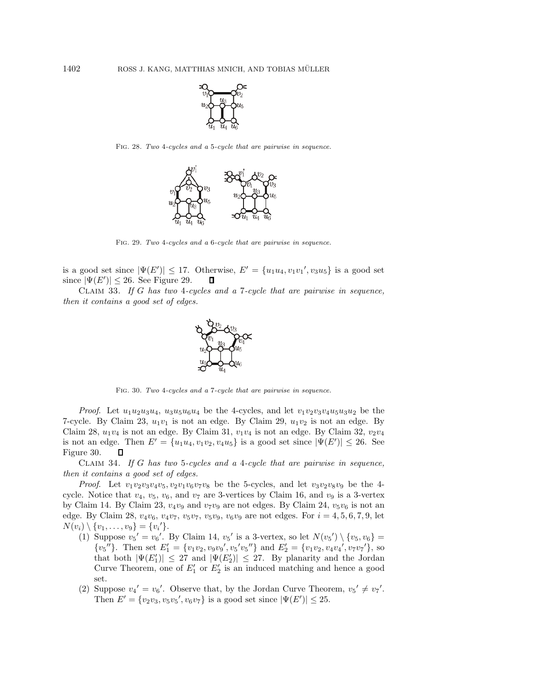

Fig. 28. *Two* 4*-cycles and a* 5*-cycle that are pairwise in sequence.*



Fig. 29. *Two* 4*-cycles and a* 6*-cycle that are pairwise in sequence.*

is a good set since  $|\Psi(E')| \leq 17$ . Otherwise,  $E' = \{u_1u_4, v_1v_1', v_3u_5\}$  is a good set since  $|\Psi(E')| \leq 26$ . See Figure 29. П

Claim 33. *If* G *has two* 4*-cycles and a* 7*-cycle that are pairwise in sequence, then it contains a good set of edges.*



Fig. 30. *Two* 4*-cycles and a* 7*-cycle that are pairwise in sequence.*

*Proof.* Let  $u_1u_2u_3u_4$ ,  $u_3u_5u_6u_4$  be the 4-cycles, and let  $v_1v_2v_3v_4u_5u_3u_2$  be the 7-cycle. By Claim 23,  $u_1v_1$  is not an edge. By Claim 29,  $u_1v_2$  is not an edge. By Claim 28,  $u_1v_4$  is not an edge. By Claim 31,  $v_1v_4$  is not an edge. By Claim 32,  $v_2v_4$ is not an edge. Then  $E' = \{u_1u_4, v_1v_2, v_4u_5\}$  is a good set since  $|\Psi(E')| \leq 26$ . See Figure 30. П

Claim 34. *If* G *has two* 5*-cycles and a* 4*-cycle that are pairwise in sequence, then it contains a good set of edges.*

*Proof.* Let  $v_1v_2v_3v_4v_5$ ,  $v_2v_1v_6v_7v_8$  be the 5-cycles, and let  $v_3v_2v_8v_9$  be the 4cycle. Notice that  $v_4$ ,  $v_5$ ,  $v_6$ , and  $v_7$  are 3-vertices by Claim 16, and  $v_9$  is a 3-vertex by Claim 14. By Claim 23,  $v_4v_9$  and  $v_7v_9$  are not edges. By Claim 24,  $v_5v_6$  is not an edge. By Claim 28,  $v_4v_6$ ,  $v_4v_7$ ,  $v_5v_7$ ,  $v_5v_9$ ,  $v_6v_9$  are not edges. For  $i = 4, 5, 6, 7, 9$ , let  $N(v_i) \setminus \{v_1, \ldots, v_9\} = \{v_i'\}.$ 

- (1) Suppose  $v_5' = v_6'$ . By Claim 14,  $v_5'$  is a 3-vertex, so let  $N(v_5') \setminus \{v_5, v_6\}$  $\{v_5''\}$ . Then set  $E'_1 = \{v_1v_2, v_9v_9', v_5'v_5''\}$  and  $E'_2 = \{v_1v_2, v_4v_4', v_7v_7'\}$ , so that both  $|\Psi(E'_1)| \leq 27$  and  $|\Psi(E'_2)| \leq 27$ . By planarity and the Jordan Curve Theorem, one of  $E'_1$  or  $E'_2$  is an induced matching and hence a good set.
- (2) Suppose  $v_4' = v_6'$ . Observe that, by the Jordan Curve Theorem,  $v_5' \neq v_7'$ . Then  $E' = \{v_2v_3, v_5v_5', v_6v_7\}$  is a good set since  $|\Psi(E')| \le 25$ .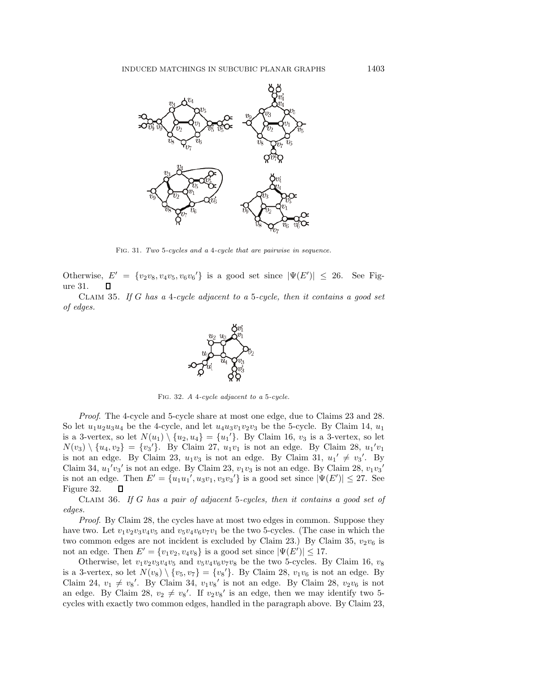

Fig. 31. *Two* 5*-cycles and a* 4*-cycle that are pairwise in sequence.*

Otherwise,  $E' = \{v_2v_8, v_4v_5, v_6v_6\}$  is a good set since  $|\Psi(E')| \leq 26$ . See Figure 31.

Claim 35. *If* G *has a* 4*-cycle adjacent to a* 5*-cycle, then it contains a good set of edges.*



Fig. 32. *A* 4*-cycle adjacent to a* 5*-cycle.*

*Proof*. The 4-cycle and 5-cycle share at most one edge, due to Claims 23 and 28. So let  $u_1u_2u_3u_4$  be the 4-cycle, and let  $u_4u_3v_1v_2v_3$  be the 5-cycle. By Claim 14,  $u_1$ is a 3-vertex, so let  $N(u_1) \setminus \{u_2, u_4\} = \{u_1'\}$ . By Claim 16,  $v_3$  is a 3-vertex, so let  $N(v_3) \setminus \{u_4, v_2\} = \{v_3'\}.$  By Claim 27,  $u_1v_1$  is not an edge. By Claim 28,  $u_1'v_1$ is not an edge. By Claim 23,  $u_1v_3$  is not an edge. By Claim 31,  $u_1' \neq v_3'$ . By Claim 34,  $u_1'v_3'$  is not an edge. By Claim 23,  $v_1v_3$  is not an edge. By Claim 28,  $v_1v_3'$ is not an edge. Then  $E' = \{u_1u_1', u_3v_1, v_3v_3'\}$  is a good set since  $|\Psi(E')| \leq 27$ . See Figure 32. П

Claim 36. *If* G *has a pair of adjacent* 5*-cycles, then it contains a good set of edges.*

*Proof.* By Claim 28, the cycles have at most two edges in common. Suppose they have two. Let  $v_1v_2v_3v_4v_5$  and  $v_5v_4v_6v_7v_1$  be the two 5-cycles. (The case in which the two common edges are not incident is excluded by Claim 23.) By Claim 35,  $v_2v_6$  is not an edge. Then  $E' = \{v_1v_2, v_4v_8\}$  is a good set since  $|\Psi(E')| \leq 17$ .

Otherwise, let  $v_1v_2v_3v_4v_5$  and  $v_5v_4v_6v_7v_8$  be the two 5-cycles. By Claim 16,  $v_8$ is a 3-vertex, so let  $N(v_8) \setminus \{v_5, v_7\} = \{v_8\}$ . By Claim 28,  $v_1v_6$  is not an edge. By Claim 24,  $v_1 \neq v_8'$ . By Claim 34,  $v_1v_8'$  is not an edge. By Claim 28,  $v_2v_6$  is not an edge. By Claim 28,  $v_2 \neq v_8'$ . If  $v_2v_8'$  is an edge, then we may identify two 5cycles with exactly two common edges, handled in the paragraph above. By Claim 23,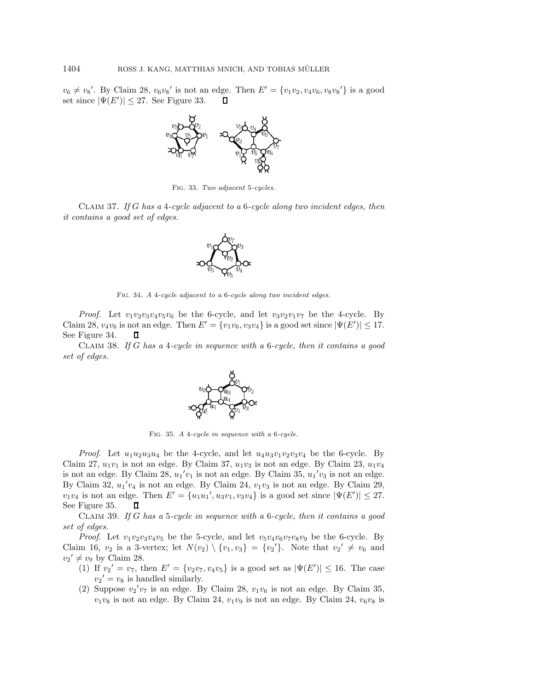$v_6 \neq v_8'$ . By Claim 28,  $v_6v_8'$  is not an edge. Then  $E' = \{v_1v_2, v_4v_6, v_8v_8'\}$  is a good set since  $|\Psi(E')| \leq 27$ . See Figure 33. П



Fig. 33. *Two adjacent* 5*-cycles.*

Claim 37. *If* G *has a* 4*-cycle adjacent to a* 6*-cycle along two incident edges, then it contains a good set of edges.*



Fig. 34. *A* 4*-cycle adjacent to a* 6*-cycle along two incident edges.*

*Proof.* Let  $v_1v_2v_3v_4v_5v_6$  be the 6-cycle, and let  $v_3v_2v_1v_7$  be the 4-cycle. By Claim 28,  $v_4v_6$  is not an edge. Then  $E' = \{v_1v_6, v_3v_4\}$  is a good set since  $|\Psi(E')| \leq 17$ . See Figure 34. П

Claim 38. *If* G *has a* 4*-cycle in sequence with a* 6*-cycle, then it contains a good set of edges.*



Fig. 35. *A* 4*-cycle in sequence with a* 6*-cycle.*

*Proof.* Let  $u_1u_2u_3u_4$  be the 4-cycle, and let  $u_4u_3v_1v_2v_3v_4$  be the 6-cycle. By Claim 27,  $u_1v_1$  is not an edge. By Claim 37,  $u_1v_3$  is not an edge. By Claim 23,  $u_1v_4$ is not an edge. By Claim  $28$ ,  $u_1'v_1$  is not an edge. By Claim  $35$ ,  $u_1'v_3$  is not an edge. By Claim  $32$ ,  $u_1'v_4$  is not an edge. By Claim  $24$ ,  $v_1v_3$  is not an edge. By Claim 29,  $v_1v_4$  is not an edge. Then  $E' = \{u_1u_1', u_3v_1, v_3v_4\}$  is a good set since  $|\Psi(E')| \leq 27$ . See Figure 35.  $\Box$ 

Claim 39. *If* G *has a* 5*-cycle in sequence with a* 6*-cycle, then it contains a good set of edges.*

*Proof.* Let  $v_1v_2v_3v_4v_5$  be the 5-cycle, and let  $v_5v_4v_6v_7v_8v_9$  be the 6-cycle. By Claim 16,  $v_2$  is a 3-vertex; let  $N(v_2) \setminus \{v_1, v_3\} = \{v_2'\}$ . Note that  $v_2' \neq v_6$  and  $v_2' \neq v_9$  by Claim 28.

- (1) If  $v_2' = v_7$ , then  $E' = \{v_2v_7, v_4v_5\}$  is a good set as  $|\Psi(E')| \le 16$ . The case  $v_2' = v_8$  is handled similarly.
- (2) Suppose  $v_2'v_7$  is an edge. By Claim 28,  $v_1v_6$  is not an edge. By Claim 35,  $v_1v_8$  is not an edge. By Claim 24,  $v_1v_9$  is not an edge. By Claim 24,  $v_6v_8$  is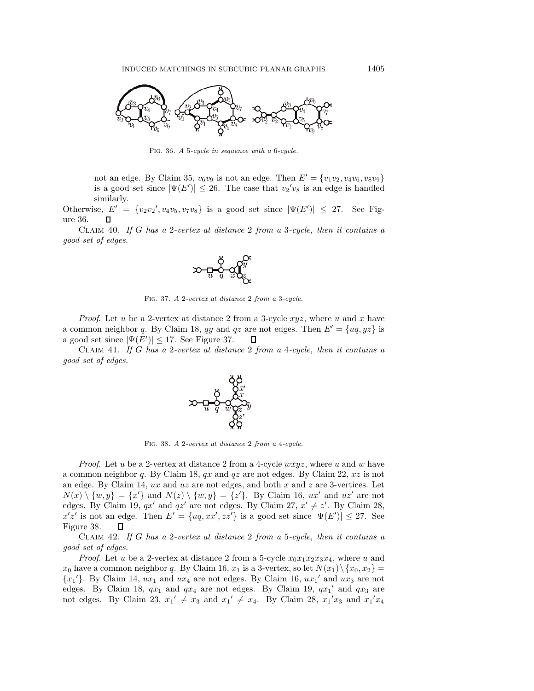

Fig. 36. *A* 5*-cycle in sequence with a* 6*-cycle.*

not an edge. By Claim 35,  $v_6v_9$  is not an edge. Then  $E' = \{v_1v_2, v_4v_6, v_8v_9\}$ is a good set since  $|\Psi(E')| \leq 26$ . The case that  $v_2'v_8$  is an edge is handled similarly.

Otherwise,  $E' = \{v_2v_2', v_4v_5, v_7v_8\}$  is a good set since  $|\Psi(E')| \leq 27$ . See Figure 36.  $\mathsf{\Pi}$ 

Claim 40. *If* G *has a* 2*-vertex at distance* 2 *from a* 3*-cycle, then it contains a good set of edges.*



Fig. 37. *A* 2*-vertex at distance* 2 *from a* 3*-cycle.*

*Proof.* Let u be a 2-vertex at distance 2 from a 3-cycle  $xyz$ , where u and x have a common neighbor q. By Claim 18, qy and qz are not edges. Then  $E' = \{uq, yz\}$  is a good set since  $|\Psi(E')| \leq 17$ . See Figure 37. 0

Claim 41. *If* G *has a* 2*-vertex at distance* 2 *from a* 4*-cycle, then it contains a good set of edges.*



Fig. 38. *A* 2*-vertex at distance* 2 *from a* 4*-cycle.*

*Proof.* Let u be a 2-vertex at distance 2 from a 4-cycle  $wxyz$ , where u and w have a common neighbor q. By Claim 18,  $qx$  and  $qz$  are not edges. By Claim 22,  $xz$  is not an edge. By Claim 14,  $ux$  and  $uz$  are not edges, and both  $x$  and  $z$  are 3-vertices. Let  $N(x) \setminus \{w, y\} = \{x'\}$  and  $N(z) \setminus \{w, y\} = \{z'\}.$  By Claim 16,  $ux'$  and  $uz'$  are not edges. By Claim 19,  $qx'$  and  $qz'$  are not edges. By Claim 27,  $x' \neq z'$ . By Claim 28,  $x'z'$  is not an edge. Then  $E' = \{uq, xx', zz'\}$  is a good set since  $|\Psi(E')| \leq 27$ . See Figure 38. П

Claim 42. *If* G *has a* 2*-vertex at distance* 2 *from a* 5*-cycle, then it contains a good set of edges.*

*Proof.* Let u be a 2-vertex at distance 2 from a 5-cycle  $x_0x_1x_2x_3x_4$ , where u and  $x_0$  have a common neighbor q. By Claim 16,  $x_1$  is a 3-vertex, so let  $N(x_1)\setminus\{x_0, x_2\}$  ${x_1}'$ . By Claim 14,  $ux_1$  and  $ux_4$  are not edges. By Claim 16,  $ux_1'$  and  $ux_3$  are not edges. By Claim 18,  $qx_1$  and  $qx_4$  are not edges. By Claim 19,  $qx_1'$  and  $qx_3$  are not edges. By Claim 23,  $x_1' \neq x_3$  and  $x_1' \neq x_4$ . By Claim 28,  $x_1'x_3$  and  $x_1'x_4$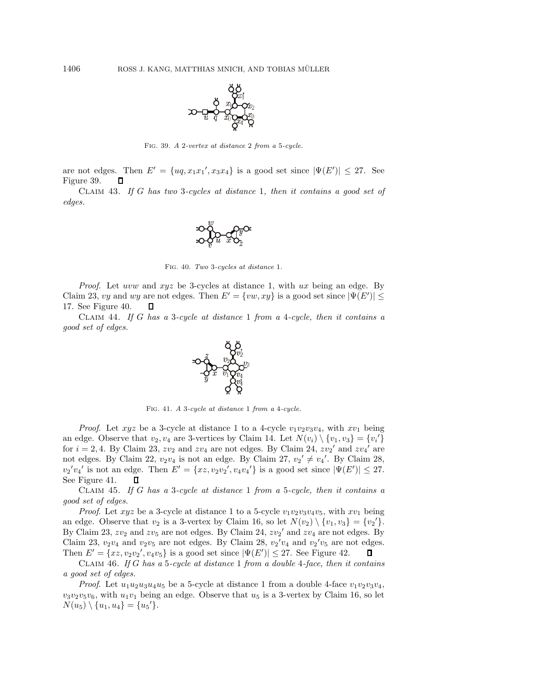

Fig. 39. *A* 2*-vertex at distance* 2 *from a* 5*-cycle.*

are not edges. Then  $E' = \{uq, x_1x_1', x_3x_4\}$  is a good set since  $|\Psi(E')| \leq 27$ . See Figure 39. П

Claim 43. *If* G *has two* 3*-cycles at distance* 1*, then it contains a good set of edges.*



Fig. 40. *Two* 3*-cycles at distance* 1*.*

*Proof.* Let uvw and xyz be 3-cycles at distance 1, with ux being an edge. By Claim 23, vy and wy are not edges. Then  $E' = \{vw, xy\}$  is a good set since  $|\Psi(E')| \le$ 17. See Figure 40.  $\Box$ 

Claim 44. *If* G *has a* 3*-cycle at distance* 1 *from a* 4*-cycle, then it contains a good set of edges.*



Fig. 41. *A* 3*-cycle at distance* 1 *from a* 4*-cycle.*

*Proof.* Let xyz be a 3-cycle at distance 1 to a 4-cycle  $v_1v_2v_3v_4$ , with  $xv_1$  being an edge. Observe that  $v_2, v_4$  are 3-vertices by Claim 14. Let  $N(v_i) \setminus \{v_1, v_3\} = \{v_i'\}$ for  $i = 2, 4$ . By Claim 23,  $zv_2$  and  $zv_4$  are not edges. By Claim 24,  $zv_2$ ' and  $zv_4$ ' are not edges. By Claim 22,  $v_2v_4$  is not an edge. By Claim 27,  $v_2' \neq v_4'$ . By Claim 28,  $v_2'v_4'$  is not an edge. Then  $E' = \{xz, v_2v_2', v_4v_4'\}$  is a good set since  $|\Psi(E')| \leq 27$ . See Figure 41. П

Claim 45. *If* G *has a* 3*-cycle at distance* 1 *from a* 5*-cycle, then it contains a good set of edges.*

*Proof.* Let  $xyz$  be a 3-cycle at distance 1 to a 5-cycle  $v_1v_2v_3v_4v_5$ , with  $xv_1$  being an edge. Observe that  $v_2$  is a 3-vertex by Claim 16, so let  $N(v_2) \setminus \{v_1, v_3\} = \{v_2'\}.$ By Claim 23,  $zv_2$  and  $zv_5$  are not edges. By Claim 24,  $zv_2'$  and  $zv_4$  are not edges. By Claim 23,  $v_2v_4$  and  $v_2v_5$  are not edges. By Claim 28,  $v_2'v_4$  and  $v_2'v_5$  are not edges. Then  $E' = \{xz, v_2v_2', v_4v_5\}$  is a good set since  $|\Psi(E')| \leq 27$ . See Figure 42.  $\Box$ 

Claim 46. *If* G *has a* 5*-cycle at distance* 1 *from a double* 4*-face, then it contains a good set of edges.*

*Proof.* Let  $u_1u_2u_3u_4u_5$  be a 5-cycle at distance 1 from a double 4-face  $v_1v_2v_3v_4$ ,  $v_3v_2v_5v_6$ , with  $u_1v_1$  being an edge. Observe that  $u_5$  is a 3-vertex by Claim 16, so let  $N(u_5) \setminus \{u_1, u_4\} = \{u_5'\}.$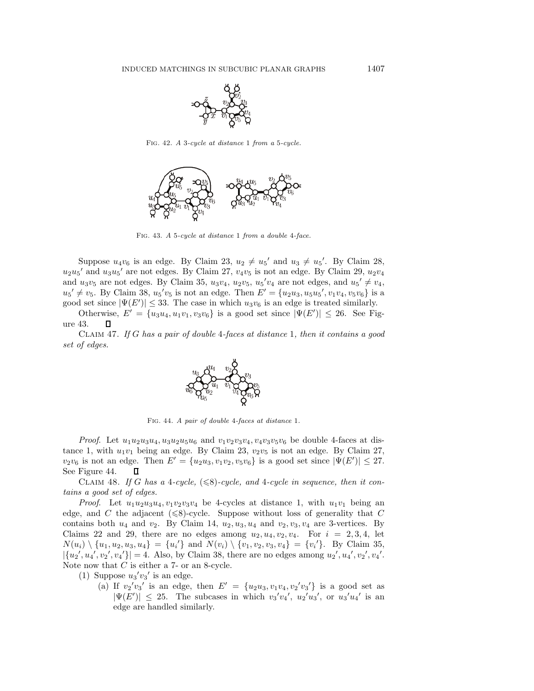

Fig. 42. *A* 3*-cycle at distance* 1 *from a* 5*-cycle.*



Fig. 43. *A* 5*-cycle at distance* 1 *from a double* 4*-face.*

Suppose  $u_4v_6$  is an edge. By Claim 23,  $u_2 \neq u_5'$  and  $u_3 \neq u_5'$ . By Claim 28,  $u_2u_5'$  and  $u_3u_5'$  are not edges. By Claim 27,  $v_4v_5$  is not an edge. By Claim 29,  $u_2v_4$ and  $u_3v_5$  are not edges. By Claim 35,  $u_3v_4$ ,  $u_2v_5$ ,  $u_5'v_4$  are not edges, and  $u_5' \neq v_4$ ,  $u_5' \neq v_5$ . By Claim 38,  $u_5'v_5$  is not an edge. Then  $E' = \{u_2u_3, u_5u_5', v_1v_4, v_5v_6\}$  is a good set since  $|\Psi(E')| \leq 33$ . The case in which  $u_3v_6$  is an edge is treated similarly.

Otherwise,  $E' = \{u_3u_4, u_1v_1, v_3v_6\}$  is a good set since  $|\Psi(E')| \leq 26$ . See Figure 43. П

Claim 47. *If* G *has a pair of double* 4*-faces at distance* 1*, then it contains a good set of edges.*



Fig. 44. *A pair of double* 4*-faces at distance* 1*.*

*Proof.* Let  $u_1u_2u_3u_4, u_3u_2u_5u_6$  and  $v_1v_2v_3v_4, v_4v_3v_5v_6$  be double 4-faces at distance 1, with  $u_1v_1$  being an edge. By Claim 23,  $v_2v_5$  is not an edge. By Claim 27,  $v_2v_6$  is not an edge. Then  $E' = \{u_2u_3, v_1v_2, v_5v_6\}$  is a good set since  $|\Psi(E')| \leq 27$ . See Figure 44. 0

CLAIM 48. If G has a 4-cycle,  $(\leq 8)$ -cycle, and 4-cycle in sequence, then it con*tains a good set of edges.*

*Proof.* Let  $u_1u_2u_3u_4$ ,  $v_1v_2v_3v_4$  be 4-cycles at distance 1, with  $u_1v_1$  being an edge, and C the adjacent  $(\leq 8)$ -cycle. Suppose without loss of generality that C contains both  $u_4$  and  $v_2$ . By Claim 14,  $u_2, u_3, u_4$  and  $v_2, v_3, v_4$  are 3-vertices. By Claims 22 and 29, there are no edges among  $u_2, u_4, v_2, v_4$ . For  $i = 2, 3, 4$ , let  $N(u_i) \setminus \{u_1, u_2, u_3, u_4\} = \{u_i'\}$  and  $N(v_i) \setminus \{v_1, v_2, v_3, v_4\} = \{v_i'\}.$  By Claim 35,  $|\{u_2', u_4', v_2', v_4'\}| = 4.$  Also, by Claim 38, there are no edges among  $u_2', u_4', v_2', v_4'.$ Note now that  $C$  is either a  $7$ - or an 8-cycle.

- (1) Suppose  $u_3'v_3'$  is an edge.
	- (a) If  $v_2'v_3'$  is an edge, then  $E' = \{u_2u_3, v_1v_4, v_2'v_3'\}$  is a good set as  $|\Psi(E')| \leq 25$ . The subcases in which  $v_3'v_4'$ ,  $u_2'u_3'$ , or  $u_3'u_4'$  is an edge are handled similarly.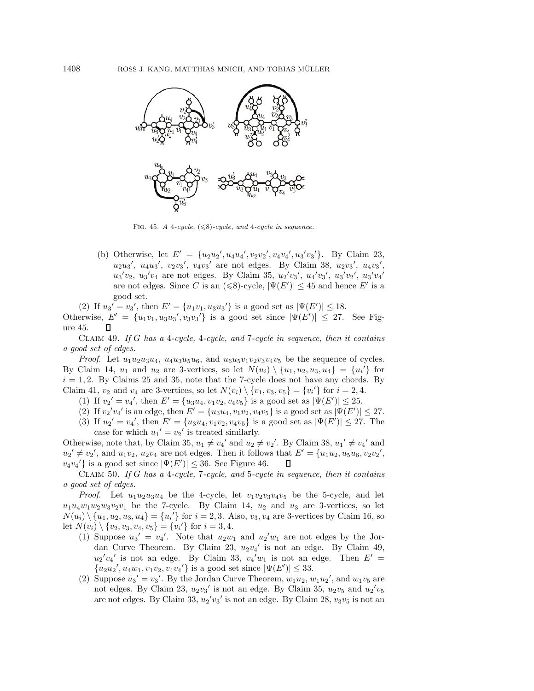

FIG. 45. *A* 4*-cycle*,  $(\leq 8)$ *-cycle*, and 4*-cycle* in sequence.

(b) Otherwise, let  $E' = \{u_2u_2', u_4u_4', v_2v_2', v_4v_4', u_3'v_3'\}$ . By Claim 23,  $u_2u_3'$ ,  $u_4u_3'$ ,  $v_2v_3'$ ,  $v_4v_3'$  are not edges. By Claim 38,  $u_2v_3'$ ,  $u_4v_3'$ ,  $u_3'v_2$ ,  $u_3'v_4$  are not edges. By Claim 35,  $u_2'v_3'$ ,  $u_4'v_3'$ ,  $u_3'v_2'$ ,  $u_3'v_4'$ are not edges. Since C is an  $(\leq 8)$ -cycle,  $|\Psi(E')| \leq 45$  and hence E' is a good set.

(2) If  $u_3' = v_3'$ , then  $E' = {u_1v_1, u_3u_3'}$  is a good set as  $|\Psi(E')| \le 18$ . Otherwise,  $E' = \{u_1v_1, u_3u_3', v_3v_3'\}$  is a good set since  $|\Psi(E')| \leq 27$ . See Figure 45. П

Claim 49. *If* G *has a* 4*-cycle,* 4*-cycle, and* 7*-cycle in sequence, then it contains a good set of edges.*

*Proof.* Let  $u_1u_2u_3u_4$ ,  $u_4u_3u_5u_6$ , and  $u_6u_5v_1v_2v_3v_4v_5$  be the sequence of cycles. By Claim 14,  $u_1$  and  $u_2$  are 3-vertices, so let  $N(u_i) \setminus \{u_1, u_2, u_3, u_4\} = \{u_i'\}$  for  $i = 1, 2$ . By Claims 25 and 35, note that the 7-cycle does not have any chords. By Claim 41,  $v_2$  and  $v_4$  are 3-vertices, so let  $N(v_i) \setminus \{v_1, v_3, v_5\} = \{v_i'\}$  for  $i = 2, 4$ .

- (1) If  $v_2' = v_4'$ , then  $E' = {u_3u_4, v_1v_2, v_4v_5}$  is a good set as  $|\Psi(E')| \le 25$ .
- (2) If  $v_2'v_4'$  is an edge, then  $E' = \{u_3u_4, v_1v_2, v_4v_5\}$  is a good set as  $|\Psi(E')| \leq 27$ .
- (3) If  $u_2' = v_4'$ , then  $E' = {u_3u_4, v_1v_2, v_4v_5}$  is a good set as  $|\Psi(E')| \leq 27$ . The case for which  $u_1' = v_2'$  is treated similarly.

Otherwise, note that, by Claim 35,  $u_1 \neq v_4'$  and  $u_2 \neq v_2'$ . By Claim 38,  $u_1' \neq v_4'$  and  $u_2' \neq v_2'$ , and  $u_1v_2$ ,  $u_2v_4$  are not edges. Then it follows that  $E' = \{u_1u_2, u_5u_6, v_2v_2',$  $v_4v_4'$ } is a good set since  $|\Psi(E')| \leq 36$ . See Figure 46.  $\Box$ 

Claim 50. *If* G *has a* 4*-cycle,* 7*-cycle, and* 5*-cycle in sequence, then it contains a good set of edges.*

*Proof.* Let  $u_1u_2u_3u_4$  be the 4-cycle, let  $v_1v_2v_3v_4v_5$  be the 5-cycle, and let  $u_1u_4w_1w_2w_3v_2v_1$  be the 7-cycle. By Claim 14,  $u_2$  and  $u_3$  are 3-vertices, so let  $N(u_i) \setminus \{u_1, u_2, u_3, u_4\} = \{u_i'\}$  for  $i = 2, 3$ . Also,  $v_3, v_4$  are 3-vertices by Claim 16, so let  $N(v_i) \setminus \{v_2, v_3, v_4, v_5\} = \{v_i'\}\$ for  $i = 3, 4$ .

- (1) Suppose  $u_3' = v_4'$ . Note that  $u_2w_1$  and  $u_2'w_1$  are not edges by the Jordan Curve Theorem. By Claim 23,  $u_2v_4$ ' is not an edge. By Claim 49,  $u_2'v_4'$  is not an edge. By Claim 33,  $v_4'w_1$  is not an edge. Then  $E' =$  ${u_2u_2', u_4w_1, v_1v_2, v_4v_4'}$  is a good set since  $|\Psi(E')| \leq 33$ .
- (2) Suppose  $u_3' = v_3'$ . By the Jordan Curve Theorem,  $w_1u_2$ ,  $w_1u_2'$ , and  $w_1v_5$  are not edges. By Claim 23,  $u_2v_3'$  is not an edge. By Claim 35,  $u_2v_5$  and  $u_2'v_5$ are not edges. By Claim 33,  $u_2'v_3'$  is not an edge. By Claim 28,  $v_3v_5$  is not an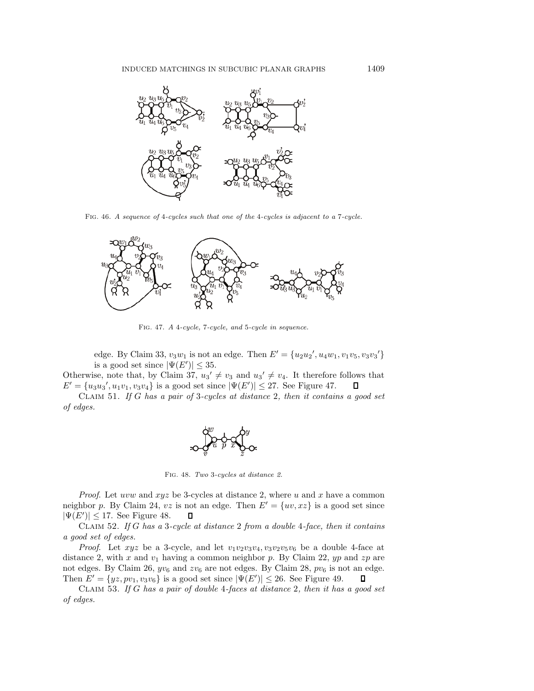

Fig. 46. *A sequence of* 4*-cycles such that one of the* 4*-cycles is adjacent to a* 7*-cycle.*



Fig. 47. *A* 4*-cycle,* 7*-cycle, and* 5*-cycle in sequence.*

edge. By Claim 33,  $v_3w_1$  is not an edge. Then  $E' = \{u_2u_2', u_4w_1, v_1v_5, v_3v_3'\}$ is a good set since  $|\Psi(E')| \leq 35$ .

Otherwise, note that, by Claim 37,  $u_3' \neq v_3$  and  $u_3' \neq v_4$ . It therefore follows that  $E' = \{u_3u_3', u_1v_1, v_3v_4\}$  is a good set since  $|\Psi(E')| \leq 27$ . See Figure 47.  $\Box$ 

Claim 51. *If* G *has a pair of* 3*-cycles at distance* 2*, then it contains a good set of edges.*



Fig. 48. *Two* 3*-cycles at distance 2.*

*Proof.* Let uvw and  $xyz$  be 3-cycles at distance 2, where u and x have a common neighbor p. By Claim 24, vz is not an edge. Then  $E' = \{uv, xz\}$  is a good set since  $|\Psi(E')| \leq 17$ . See Figure 48.  $\Box$ 

Claim 52. *If* G *has a* 3*-cycle at distance* 2 *from a double* 4*-face, then it contains a good set of edges.*

*Proof.* Let  $xyz$  be a 3-cycle, and let  $v_1v_2v_3v_4$ ,  $v_3v_2v_5v_6$  be a double 4-face at distance 2, with x and  $v_1$  having a common neighbor p. By Claim 22, yp and zp are not edges. By Claim 26,  $yv_6$  and  $zv_6$  are not edges. By Claim 28,  $pv_6$  is not an edge. Then  $E' = \{yz, pv_1, v_3v_6\}$  is a good set since  $|\Psi(E')| \le 26$ . See Figure 49.  $\Box$ 

Claim 53. *If* G *has a pair of double* 4*-faces at distance* 2*, then it has a good set of edges.*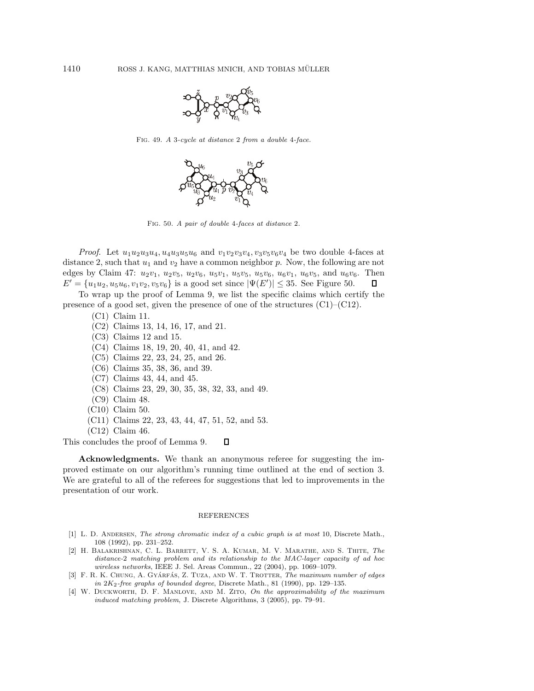

Fig. 49. *A* 3*-cycle at distance* 2 *from a double* 4*-face.*



Fig. 50. *A pair of double* 4*-faces at distance* 2*.*

*Proof.* Let  $u_1u_2u_3u_4, u_4u_3u_5u_6$  and  $v_1v_2v_3v_4, v_3v_5v_6v_4$  be two double 4-faces at distance 2, such that  $u_1$  and  $v_2$  have a common neighbor p. Now, the following are not edges by Claim 47:  $u_2v_1$ ,  $u_2v_5$ ,  $u_2v_6$ ,  $u_5v_1$ ,  $u_5v_5$ ,  $u_5v_6$ ,  $u_6v_1$ ,  $u_6v_5$ , and  $u_6v_6$ . Then  $E' = \{u_1u_2, u_5u_6, v_1v_2, v_5v_6\}$  is a good set since  $|\Psi(E')| \le 35$ . See Figure 50. 0

To wrap up the proof of Lemma 9, we list the specific claims which certify the presence of a good set, given the presence of one of the structures (C1)–(C12).

- (C1) Claim 11.
- (C2) Claims 13, 14, 16, 17, and 21.
- (C3) Claims 12 and 15.
- (C4) Claims 18, 19, 20, 40, 41, and 42.
- (C5) Claims 22, 23, 24, 25, and 26.
- (C6) Claims 35, 38, 36, and 39.
- (C7) Claims 43, 44, and 45.
- (C8) Claims 23, 29, 30, 35, 38, 32, 33, and 49.
- (C9) Claim 48.
- (C10) Claim 50.
- (C11) Claims 22, 23, 43, 44, 47, 51, 52, and 53.
- (C12) Claim 46.

This concludes the proof of Lemma 9. о

**Acknowledgments.** We thank an anonymous referee for suggesting the improved estimate on our algorithm's running time outlined at the end of section 3. We are grateful to all of the referees for suggestions that led to improvements in the presentation of our work.

## REFERENCES

- [1] L. D. ANDERSEN, *The strong chromatic index of a cubic graph is at most* 10, Discrete Math., 108 (1992), pp. 231–252.
- [2] H. Balakrishnan, C. L. Barrett, V. S. A. Kumar, M. V. Marathe, and S. Thite, *The distance-*2 *matching problem and its relationship to the MAC-layer capacity of ad hoc wireless networks*, IEEE J. Sel. Areas Commun., 22 (2004), pp. 1069–1079.
- [3] F. R. K. CHUNG, A. GYÁRFÁS, Z. TUZA, AND W. T. TROTTER, *The maximum number of edges in* 2*K*2*-free graphs of bounded degree*, Discrete Math., 81 (1990), pp. 129–135.
- [4] W. Duckworth, D. F. Manlove, and M. Zito, *On the approximability of the maximum induced matching problem*, J. Discrete Algorithms, 3 (2005), pp. 79–91.